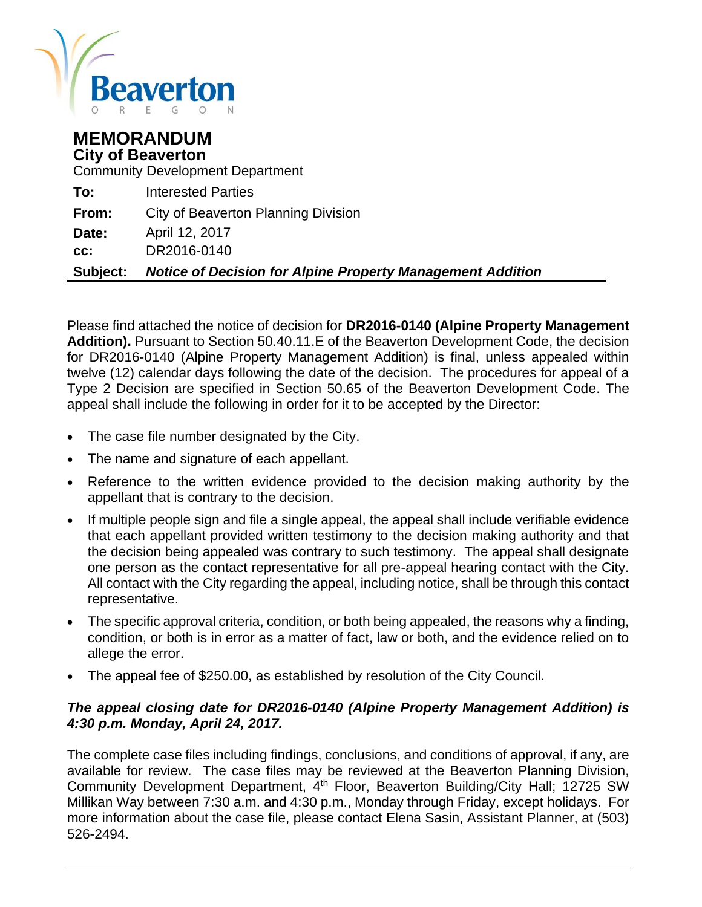

# **MEMORANDUM City of Beaverton**

Community Development Department

| <b>Subject:</b> | <b>Notice of Decision for Alpine Property Management Addition</b> |
|-----------------|-------------------------------------------------------------------|
| CC:             | DR2016-0140                                                       |
| Date:           | April 12, 2017                                                    |
| From:           | City of Beaverton Planning Division                               |
| To:             | <b>Interested Parties</b>                                         |

Please find attached the notice of decision for **DR2016-0140 (Alpine Property Management Addition).** Pursuant to Section 50.40.11.E of the Beaverton Development Code, the decision for DR2016-0140 (Alpine Property Management Addition) is final, unless appealed within twelve (12) calendar days following the date of the decision. The procedures for appeal of a Type 2 Decision are specified in Section 50.65 of the Beaverton Development Code. The appeal shall include the following in order for it to be accepted by the Director:

- The case file number designated by the City.
- The name and signature of each appellant.
- Reference to the written evidence provided to the decision making authority by the appellant that is contrary to the decision.
- If multiple people sign and file a single appeal, the appeal shall include verifiable evidence that each appellant provided written testimony to the decision making authority and that the decision being appealed was contrary to such testimony. The appeal shall designate one person as the contact representative for all pre-appeal hearing contact with the City. All contact with the City regarding the appeal, including notice, shall be through this contact representative.
- The specific approval criteria, condition, or both being appealed, the reasons why a finding, condition, or both is in error as a matter of fact, law or both, and the evidence relied on to allege the error.
- The appeal fee of \$250.00, as established by resolution of the City Council.

#### *The appeal closing date for DR2016-0140 (Alpine Property Management Addition) is 4:30 p.m. Monday, April 24, 2017.*

The complete case files including findings, conclusions, and conditions of approval, if any, are available for review. The case files may be reviewed at the Beaverton Planning Division, Community Development Department, 4<sup>th</sup> Floor, Beaverton Building/City Hall; 12725 SW Millikan Way between 7:30 a.m. and 4:30 p.m., Monday through Friday, except holidays. For more information about the case file, please contact Elena Sasin, Assistant Planner, at (503) 526-2494.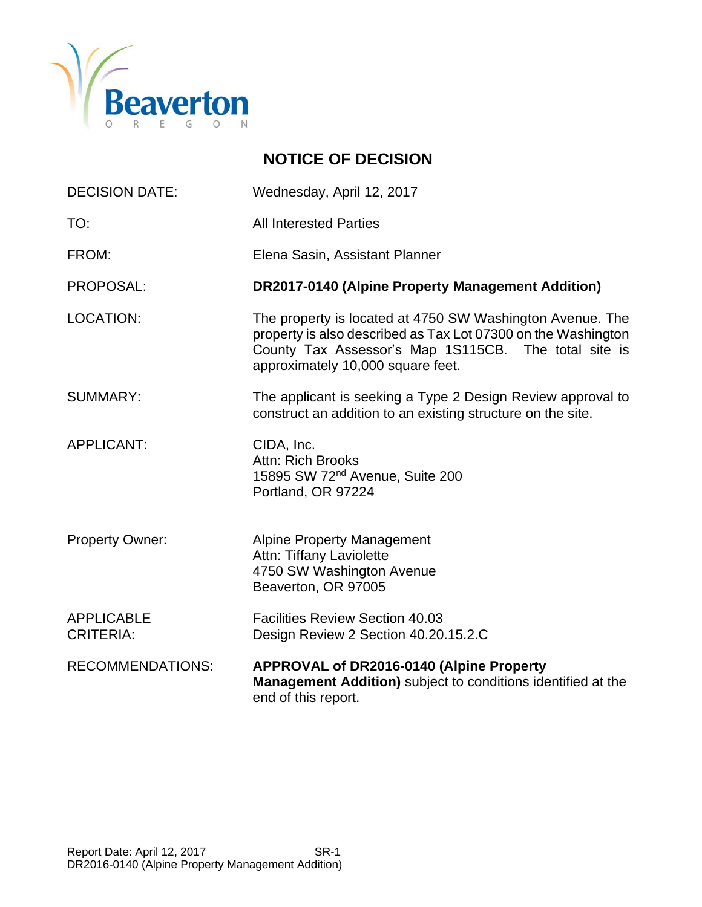

# **NOTICE OF DECISION**

| <b>DECISION DATE:</b>                 | Wednesday, April 12, 2017                                                                                                                                                                                               |
|---------------------------------------|-------------------------------------------------------------------------------------------------------------------------------------------------------------------------------------------------------------------------|
| TO:                                   | <b>All Interested Parties</b>                                                                                                                                                                                           |
| FROM:                                 | Elena Sasin, Assistant Planner                                                                                                                                                                                          |
| PROPOSAL:                             | <b>DR2017-0140 (Alpine Property Management Addition)</b>                                                                                                                                                                |
| <b>LOCATION:</b>                      | The property is located at 4750 SW Washington Avenue. The<br>property is also described as Tax Lot 07300 on the Washington<br>County Tax Assessor's Map 1S115CB. The total site is<br>approximately 10,000 square feet. |
| <b>SUMMARY:</b>                       | The applicant is seeking a Type 2 Design Review approval to<br>construct an addition to an existing structure on the site.                                                                                              |
| <b>APPLICANT:</b>                     | CIDA, Inc.<br>Attn: Rich Brooks<br>15895 SW 72 <sup>nd</sup> Avenue, Suite 200<br>Portland, OR 97224                                                                                                                    |
| <b>Property Owner:</b>                | <b>Alpine Property Management</b><br>Attn: Tiffany Laviolette<br>4750 SW Washington Avenue<br>Beaverton, OR 97005                                                                                                       |
| <b>APPLICABLE</b><br><b>CRITERIA:</b> | <b>Facilities Review Section 40.03</b><br>Design Review 2 Section 40.20.15.2.C                                                                                                                                          |
| <b>RECOMMENDATIONS:</b>               | <b>APPROVAL of DR2016-0140 (Alpine Property</b><br><b>Management Addition)</b> subject to conditions identified at the<br>end of this report.                                                                           |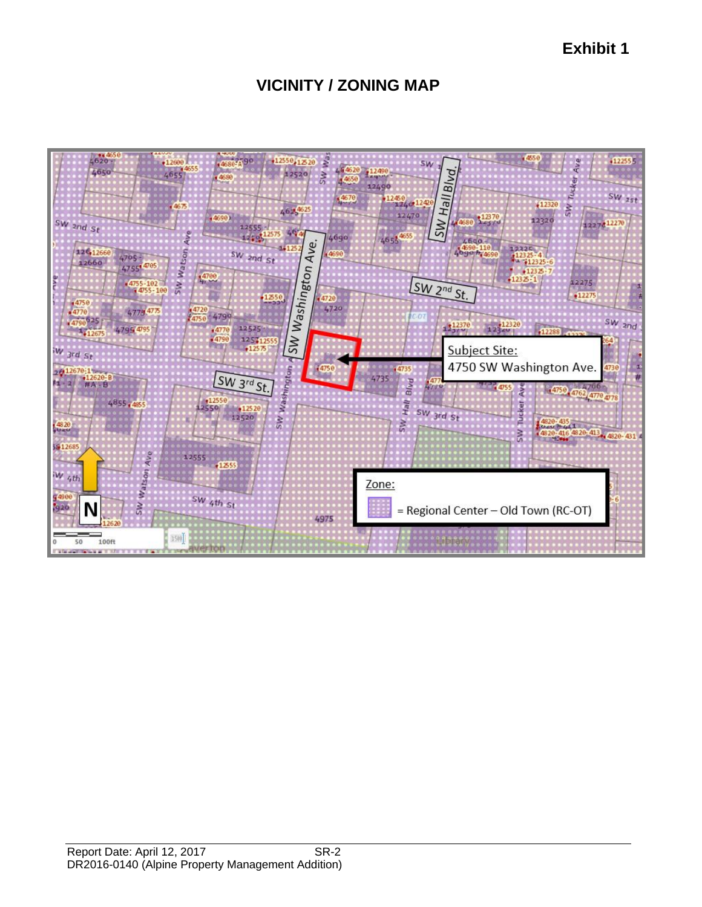**Exhibit 1**

# **VICINITY / ZONING MAP**

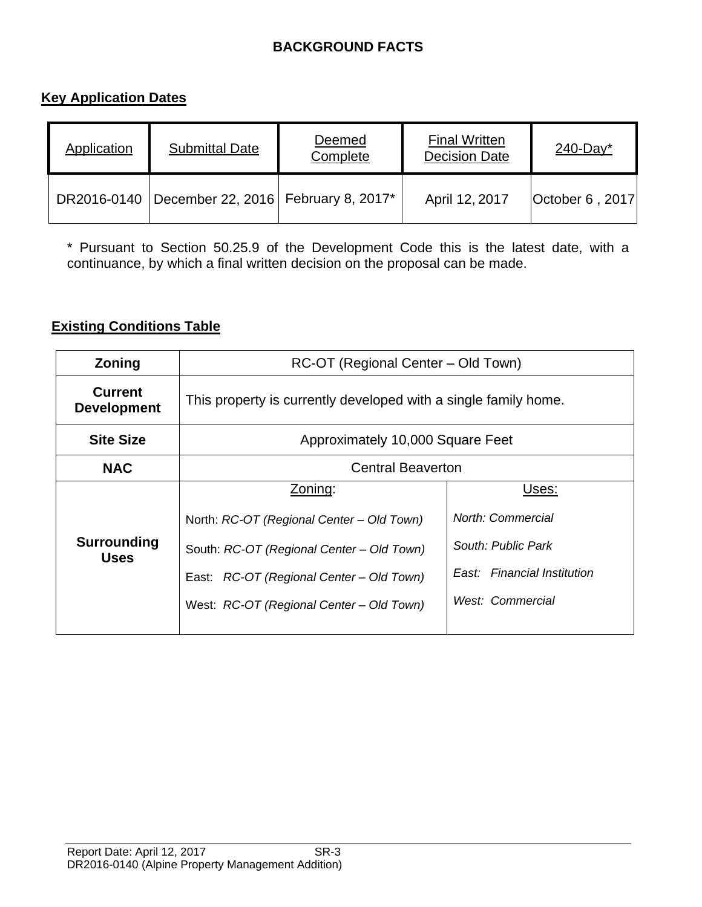# **BACKGROUND FACTS**

# **Key Application Dates**

| Application | <b>Submittal Date</b>                               | Deemed<br>Complete | <b>Final Written</b><br><b>Decision Date</b> | $240$ -Day <sup>*</sup> |
|-------------|-----------------------------------------------------|--------------------|----------------------------------------------|-------------------------|
|             | DR2016-0140   December 22, 2016   February 8, 2017* |                    | April 12, 2017                               | October 6, 2017         |

\* Pursuant to Section 50.25.9 of the Development Code this is the latest date, with a continuance, by which a final written decision on the proposal can be made.

## **Existing Conditions Table**

| Zoning                               | RC-OT (Regional Center - Old Town)                              |                             |  |  |
|--------------------------------------|-----------------------------------------------------------------|-----------------------------|--|--|
| <b>Current</b><br><b>Development</b> | This property is currently developed with a single family home. |                             |  |  |
| <b>Site Size</b>                     | Approximately 10,000 Square Feet                                |                             |  |  |
| <b>NAC</b>                           | <b>Central Beaverton</b>                                        |                             |  |  |
|                                      | Zoning:                                                         | Uses:                       |  |  |
|                                      | North: RC-OT (Regional Center - Old Town)                       | North: Commercial           |  |  |
| <b>Surrounding</b><br><b>Uses</b>    | South: RC-OT (Regional Center - Old Town)                       | South: Public Park          |  |  |
|                                      | East: RC-OT (Regional Center – Old Town)                        | East: Financial Institution |  |  |
|                                      | West: RC-OT (Regional Center - Old Town)                        | West: Commercial            |  |  |
|                                      |                                                                 |                             |  |  |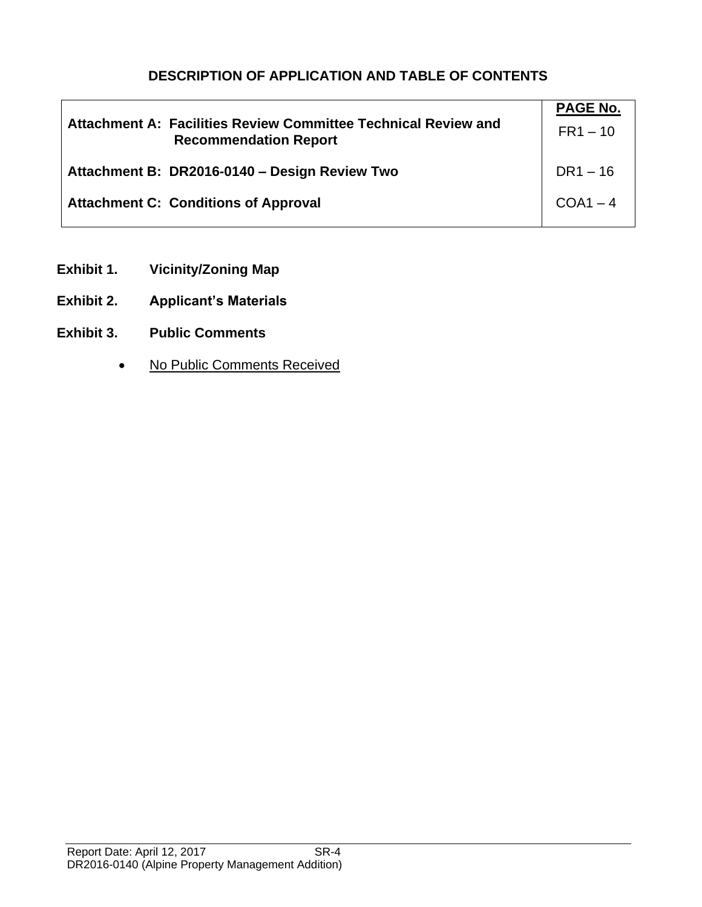# **DESCRIPTION OF APPLICATION AND TABLE OF CONTENTS**

| Attachment A: Facilities Review Committee Technical Review and<br><b>Recommendation Report</b> | PAGE No.<br>$FR1 - 10$ |
|------------------------------------------------------------------------------------------------|------------------------|
| Attachment B: DR2016-0140 - Design Review Two                                                  | $DR1 - 16$             |
| <b>Attachment C: Conditions of Approval</b>                                                    | $COA1 - 4$             |

- **Exhibit 1. Vicinity/Zoning Map**
- **Exhibit 2. Applicant's Materials**
- **Exhibit 3. Public Comments**
	- No Public Comments Received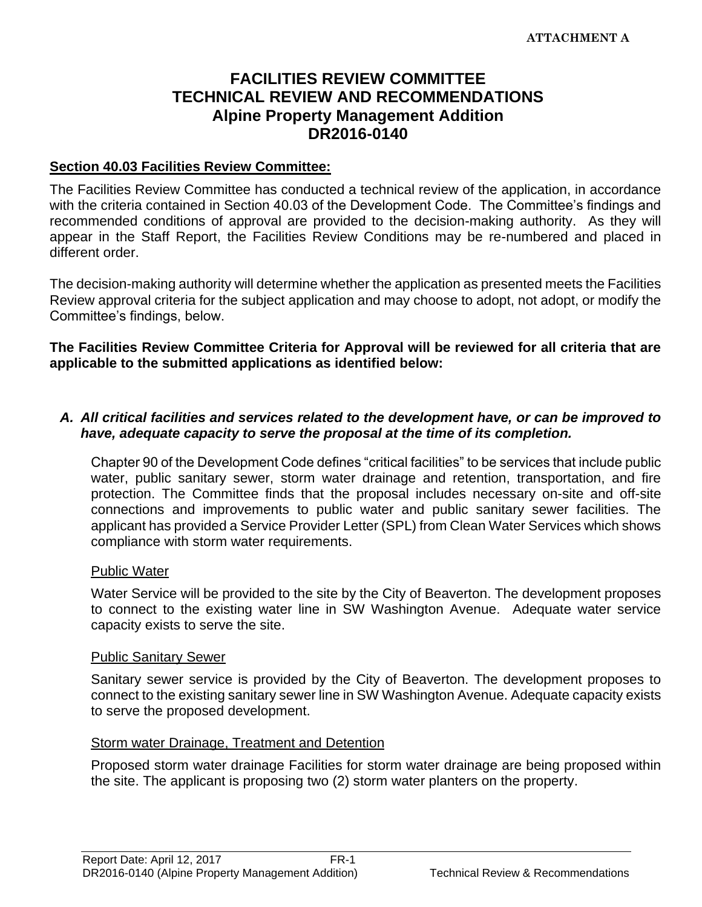# **FACILITIES REVIEW COMMITTEE TECHNICAL REVIEW AND RECOMMENDATIONS Alpine Property Management Addition DR2016-0140**

#### **Section 40.03 Facilities Review Committee:**

The Facilities Review Committee has conducted a technical review of the application, in accordance with the criteria contained in Section 40.03 of the Development Code. The Committee's findings and recommended conditions of approval are provided to the decision-making authority. As they will appear in the Staff Report, the Facilities Review Conditions may be re-numbered and placed in different order.

The decision-making authority will determine whether the application as presented meets the Facilities Review approval criteria for the subject application and may choose to adopt, not adopt, or modify the Committee's findings, below.

#### **The Facilities Review Committee Criteria for Approval will be reviewed for all criteria that are applicable to the submitted applications as identified below:**

#### *A. All critical facilities and services related to the development have, or can be improved to have, adequate capacity to serve the proposal at the time of its completion.*

Chapter 90 of the Development Code defines "critical facilities" to be services that include public water, public sanitary sewer, storm water drainage and retention, transportation, and fire protection. The Committee finds that the proposal includes necessary on-site and off-site connections and improvements to public water and public sanitary sewer facilities. The applicant has provided a Service Provider Letter (SPL) from Clean Water Services which shows compliance with storm water requirements.

#### Public Water

Water Service will be provided to the site by the City of Beaverton. The development proposes to connect to the existing water line in SW Washington Avenue. Adequate water service capacity exists to serve the site.

#### Public Sanitary Sewer

Sanitary sewer service is provided by the City of Beaverton. The development proposes to connect to the existing sanitary sewer line in SW Washington Avenue. Adequate capacity exists to serve the proposed development.

#### Storm water Drainage, Treatment and Detention

Proposed storm water drainage Facilities for storm water drainage are being proposed within the site. The applicant is proposing two (2) storm water planters on the property.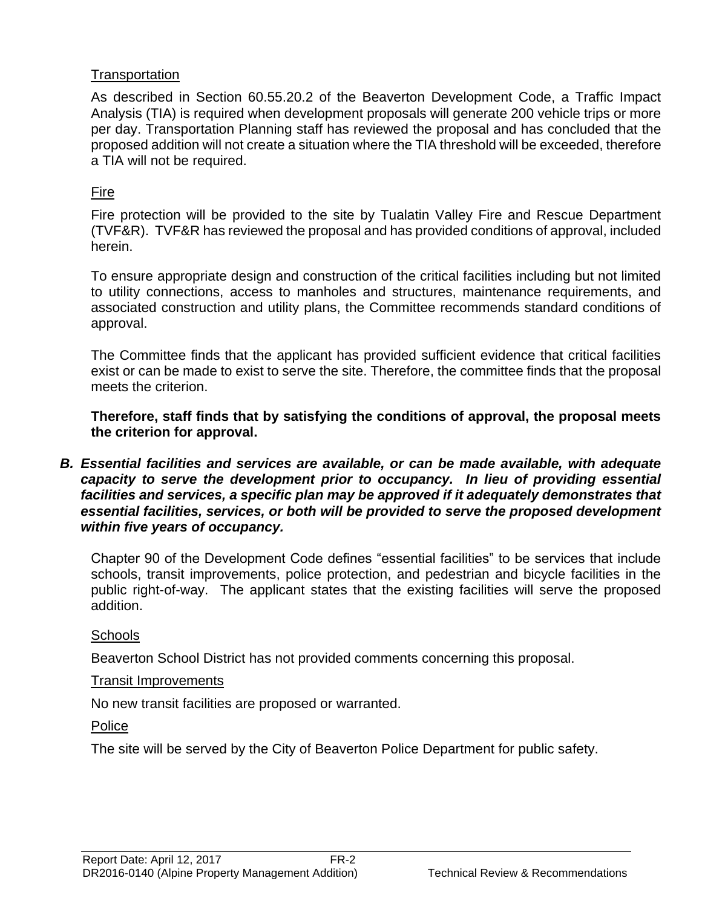# **Transportation**

As described in Section 60.55.20.2 of the Beaverton Development Code, a Traffic Impact Analysis (TIA) is required when development proposals will generate 200 vehicle trips or more per day. Transportation Planning staff has reviewed the proposal and has concluded that the proposed addition will not create a situation where the TIA threshold will be exceeded, therefore a TIA will not be required.

# Fire

Fire protection will be provided to the site by Tualatin Valley Fire and Rescue Department (TVF&R). TVF&R has reviewed the proposal and has provided conditions of approval, included herein.

To ensure appropriate design and construction of the critical facilities including but not limited to utility connections, access to manholes and structures, maintenance requirements, and associated construction and utility plans, the Committee recommends standard conditions of approval.

The Committee finds that the applicant has provided sufficient evidence that critical facilities exist or can be made to exist to serve the site. Therefore, the committee finds that the proposal meets the criterion.

**Therefore, staff finds that by satisfying the conditions of approval, the proposal meets the criterion for approval.** 

*B. Essential facilities and services are available, or can be made available, with adequate capacity to serve the development prior to occupancy. In lieu of providing essential facilities and services, a specific plan may be approved if it adequately demonstrates that essential facilities, services, or both will be provided to serve the proposed development within five years of occupancy.*

Chapter 90 of the Development Code defines "essential facilities" to be services that include schools, transit improvements, police protection, and pedestrian and bicycle facilities in the public right-of-way. The applicant states that the existing facilities will serve the proposed addition.

# **Schools**

Beaverton School District has not provided comments concerning this proposal.

# Transit Improvements

No new transit facilities are proposed or warranted.

**Police** 

The site will be served by the City of Beaverton Police Department for public safety.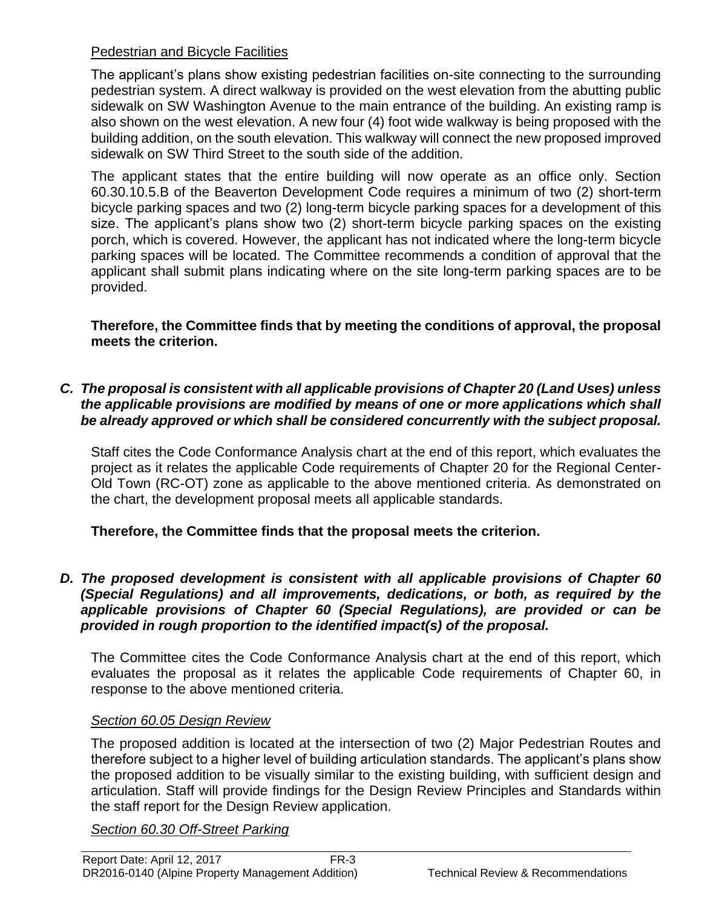# Pedestrian and Bicycle Facilities

The applicant's plans show existing pedestrian facilities on-site connecting to the surrounding pedestrian system. A direct walkway is provided on the west elevation from the abutting public sidewalk on SW Washington Avenue to the main entrance of the building. An existing ramp is also shown on the west elevation. A new four (4) foot wide walkway is being proposed with the building addition, on the south elevation. This walkway will connect the new proposed improved sidewalk on SW Third Street to the south side of the addition.

The applicant states that the entire building will now operate as an office only. Section 60.30.10.5.B of the Beaverton Development Code requires a minimum of two (2) short-term bicycle parking spaces and two (2) long-term bicycle parking spaces for a development of this size. The applicant's plans show two (2) short-term bicycle parking spaces on the existing porch, which is covered. However, the applicant has not indicated where the long-term bicycle parking spaces will be located. The Committee recommends a condition of approval that the applicant shall submit plans indicating where on the site long-term parking spaces are to be provided.

**Therefore, the Committee finds that by meeting the conditions of approval, the proposal meets the criterion.** 

# *C. The proposal is consistent with all applicable provisions of Chapter 20 (Land Uses) unless the applicable provisions are modified by means of one or more applications which shall be already approved or which shall be considered concurrently with the subject proposal.*

Staff cites the Code Conformance Analysis chart at the end of this report, which evaluates the project as it relates the applicable Code requirements of Chapter 20 for the Regional Center-Old Town (RC-OT) zone as applicable to the above mentioned criteria. As demonstrated on the chart, the development proposal meets all applicable standards.

**Therefore, the Committee finds that the proposal meets the criterion.** 

## *D. The proposed development is consistent with all applicable provisions of Chapter 60 (Special Regulations) and all improvements, dedications, or both, as required by the applicable provisions of Chapter 60 (Special Regulations), are provided or can be provided in rough proportion to the identified impact(s) of the proposal.*

The Committee cites the Code Conformance Analysis chart at the end of this report, which evaluates the proposal as it relates the applicable Code requirements of Chapter 60, in response to the above mentioned criteria.

# *Section 60.05 Design Review*

The proposed addition is located at the intersection of two (2) Major Pedestrian Routes and therefore subject to a higher level of building articulation standards. The applicant's plans show the proposed addition to be visually similar to the existing building, with sufficient design and articulation. Staff will provide findings for the Design Review Principles and Standards within the staff report for the Design Review application.

*Section 60.30 Off-Street Parking*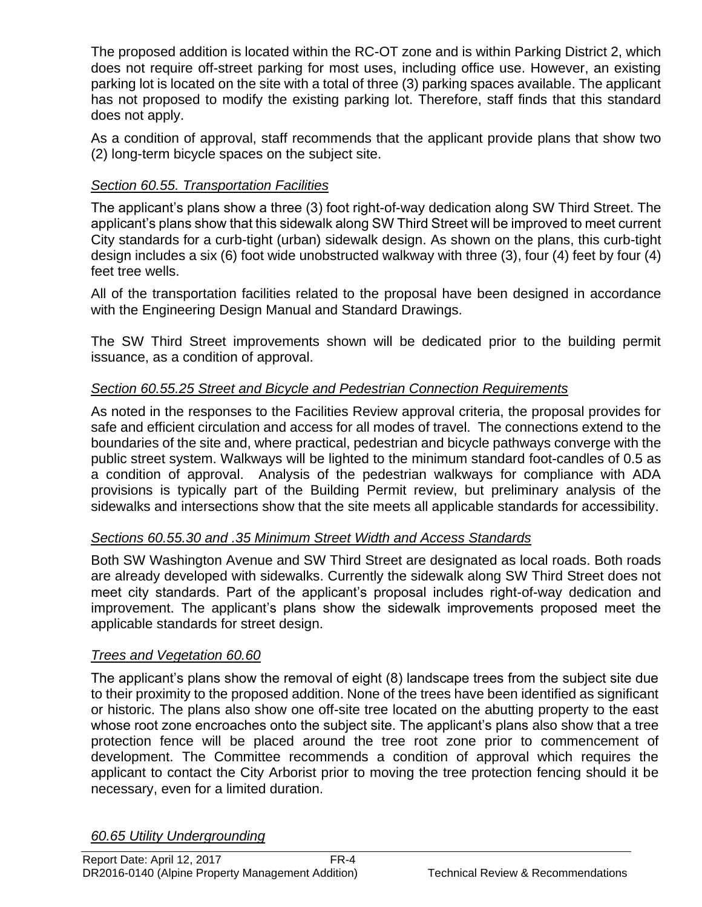The proposed addition is located within the RC-OT zone and is within Parking District 2, which does not require off-street parking for most uses, including office use. However, an existing parking lot is located on the site with a total of three (3) parking spaces available. The applicant has not proposed to modify the existing parking lot. Therefore, staff finds that this standard does not apply.

As a condition of approval, staff recommends that the applicant provide plans that show two (2) long-term bicycle spaces on the subject site.

# *Section 60.55. Transportation Facilities*

The applicant's plans show a three (3) foot right-of-way dedication along SW Third Street. The applicant's plans show that this sidewalk along SW Third Street will be improved to meet current City standards for a curb-tight (urban) sidewalk design. As shown on the plans, this curb-tight design includes a six (6) foot wide unobstructed walkway with three (3), four (4) feet by four (4) feet tree wells.

All of the transportation facilities related to the proposal have been designed in accordance with the Engineering Design Manual and Standard Drawings.

The SW Third Street improvements shown will be dedicated prior to the building permit issuance, as a condition of approval.

# *Section 60.55.25 Street and Bicycle and Pedestrian Connection Requirements*

As noted in the responses to the Facilities Review approval criteria, the proposal provides for safe and efficient circulation and access for all modes of travel. The connections extend to the boundaries of the site and, where practical, pedestrian and bicycle pathways converge with the public street system. Walkways will be lighted to the minimum standard foot-candles of 0.5 as a condition of approval. Analysis of the pedestrian walkways for compliance with ADA provisions is typically part of the Building Permit review, but preliminary analysis of the sidewalks and intersections show that the site meets all applicable standards for accessibility.

#### *Sections 60.55.30 and .35 Minimum Street Width and Access Standards*

Both SW Washington Avenue and SW Third Street are designated as local roads. Both roads are already developed with sidewalks. Currently the sidewalk along SW Third Street does not meet city standards. Part of the applicant's proposal includes right-of-way dedication and improvement. The applicant's plans show the sidewalk improvements proposed meet the applicable standards for street design.

#### *Trees and Vegetation 60.60*

The applicant's plans show the removal of eight (8) landscape trees from the subject site due to their proximity to the proposed addition. None of the trees have been identified as significant or historic. The plans also show one off-site tree located on the abutting property to the east whose root zone encroaches onto the subject site. The applicant's plans also show that a tree protection fence will be placed around the tree root zone prior to commencement of development. The Committee recommends a condition of approval which requires the applicant to contact the City Arborist prior to moving the tree protection fencing should it be necessary, even for a limited duration.

*60.65 Utility Undergrounding*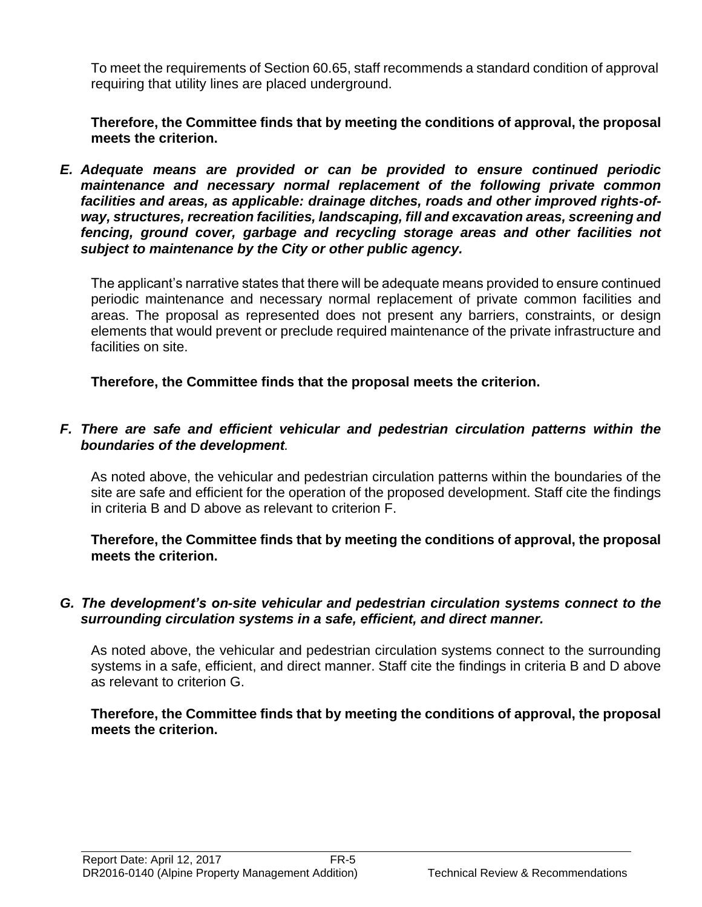To meet the requirements of Section 60.65, staff recommends a standard condition of approval requiring that utility lines are placed underground.

**Therefore, the Committee finds that by meeting the conditions of approval, the proposal meets the criterion.** 

*E. Adequate means are provided or can be provided to ensure continued periodic maintenance and necessary normal replacement of the following private common facilities and areas, as applicable: drainage ditches, roads and other improved rights-ofway, structures, recreation facilities, landscaping, fill and excavation areas, screening and*  fencing, ground cover, garbage and recycling storage areas and other facilities not *subject to maintenance by the City or other public agency.*

The applicant's narrative states that there will be adequate means provided to ensure continued periodic maintenance and necessary normal replacement of private common facilities and areas. The proposal as represented does not present any barriers, constraints, or design elements that would prevent or preclude required maintenance of the private infrastructure and facilities on site.

**Therefore, the Committee finds that the proposal meets the criterion.** 

# *F. There are safe and efficient vehicular and pedestrian circulation patterns within the boundaries of the development.*

As noted above, the vehicular and pedestrian circulation patterns within the boundaries of the site are safe and efficient for the operation of the proposed development. Staff cite the findings in criteria B and D above as relevant to criterion F.

**Therefore, the Committee finds that by meeting the conditions of approval, the proposal meets the criterion.** 

#### *G. The development's on-site vehicular and pedestrian circulation systems connect to the surrounding circulation systems in a safe, efficient, and direct manner.*

As noted above, the vehicular and pedestrian circulation systems connect to the surrounding systems in a safe, efficient, and direct manner. Staff cite the findings in criteria B and D above as relevant to criterion G.

**Therefore, the Committee finds that by meeting the conditions of approval, the proposal meets the criterion.**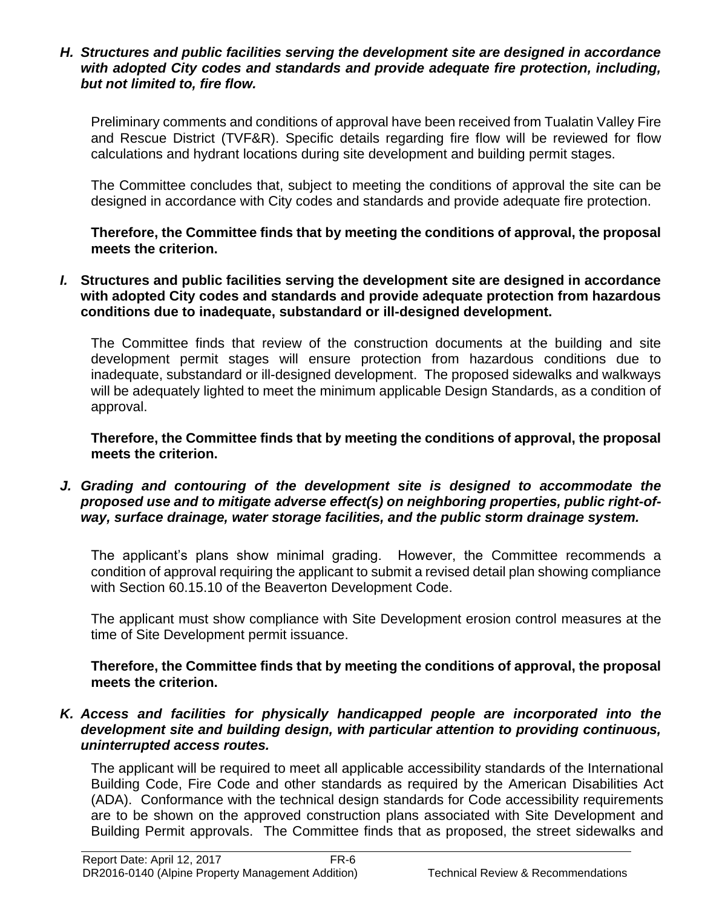#### *H. Structures and public facilities serving the development site are designed in accordance with adopted City codes and standards and provide adequate fire protection, including, but not limited to, fire flow.*

Preliminary comments and conditions of approval have been received from Tualatin Valley Fire and Rescue District (TVF&R). Specific details regarding fire flow will be reviewed for flow calculations and hydrant locations during site development and building permit stages.

The Committee concludes that, subject to meeting the conditions of approval the site can be designed in accordance with City codes and standards and provide adequate fire protection.

**Therefore, the Committee finds that by meeting the conditions of approval, the proposal meets the criterion.** 

*I.* **Structures and public facilities serving the development site are designed in accordance with adopted City codes and standards and provide adequate protection from hazardous conditions due to inadequate, substandard or ill-designed development.**

The Committee finds that review of the construction documents at the building and site development permit stages will ensure protection from hazardous conditions due to inadequate, substandard or ill-designed development. The proposed sidewalks and walkways will be adequately lighted to meet the minimum applicable Design Standards, as a condition of approval.

**Therefore, the Committee finds that by meeting the conditions of approval, the proposal meets the criterion.** 

## *J. Grading and contouring of the development site is designed to accommodate the proposed use and to mitigate adverse effect(s) on neighboring properties, public right-ofway, surface drainage, water storage facilities, and the public storm drainage system.*

The applicant's plans show minimal grading. However, the Committee recommends a condition of approval requiring the applicant to submit a revised detail plan showing compliance with Section 60.15.10 of the Beaverton Development Code.

The applicant must show compliance with Site Development erosion control measures at the time of Site Development permit issuance.

**Therefore, the Committee finds that by meeting the conditions of approval, the proposal meets the criterion.** 

#### *K. Access and facilities for physically handicapped people are incorporated into the development site and building design, with particular attention to providing continuous, uninterrupted access routes.*

The applicant will be required to meet all applicable accessibility standards of the International Building Code, Fire Code and other standards as required by the American Disabilities Act (ADA). Conformance with the technical design standards for Code accessibility requirements are to be shown on the approved construction plans associated with Site Development and Building Permit approvals. The Committee finds that as proposed, the street sidewalks and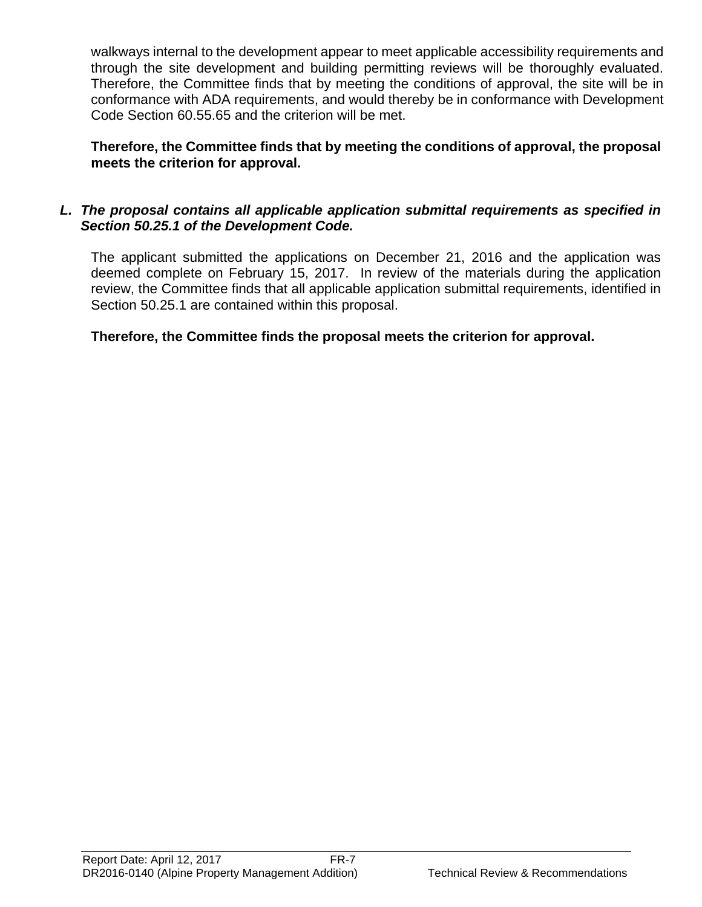walkways internal to the development appear to meet applicable accessibility requirements and through the site development and building permitting reviews will be thoroughly evaluated. Therefore, the Committee finds that by meeting the conditions of approval, the site will be in conformance with ADA requirements, and would thereby be in conformance with Development Code Section 60.55.65 and the criterion will be met.

**Therefore, the Committee finds that by meeting the conditions of approval, the proposal meets the criterion for approval.**

# *L. The proposal contains all applicable application submittal requirements as specified in Section 50.25.1 of the Development Code.*

The applicant submitted the applications on December 21, 2016 and the application was deemed complete on February 15, 2017. In review of the materials during the application review, the Committee finds that all applicable application submittal requirements, identified in Section 50.25.1 are contained within this proposal.

**Therefore, the Committee finds the proposal meets the criterion for approval.**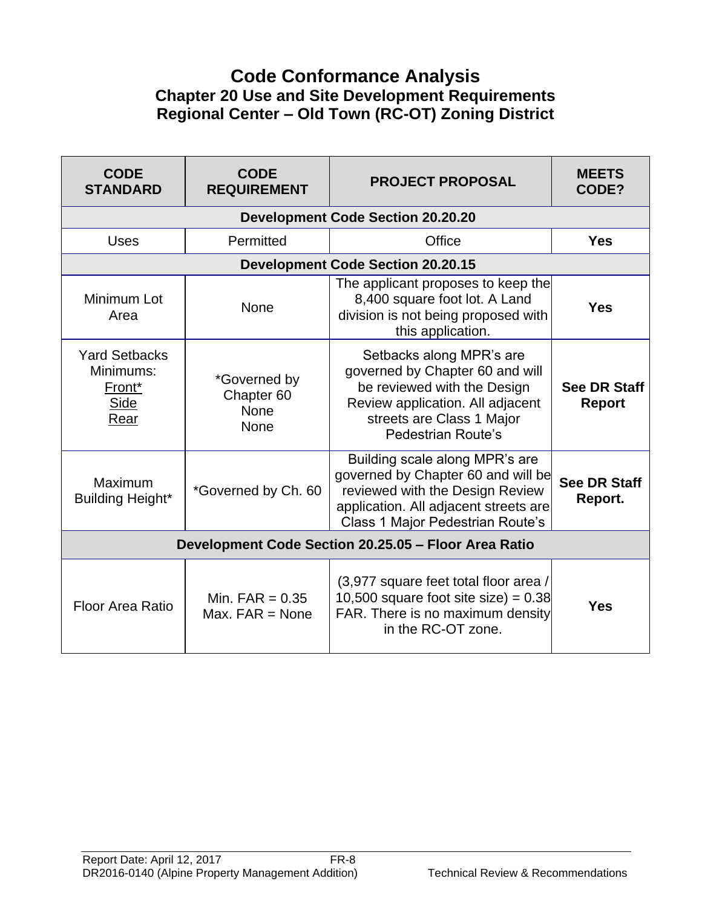# **Code Conformance Analysis Chapter 20 Use and Site Development Requirements Regional Center – Old Town (RC-OT) Zoning District**

| <b>CODE</b><br><b>STANDARD</b>                                                 | <b>CODE</b><br><b>REQUIREMENT</b>                            | <b>PROJECT PROPOSAL</b>                                                                                                                                                              | <b>MEETS</b><br>CODE?                |  |
|--------------------------------------------------------------------------------|--------------------------------------------------------------|--------------------------------------------------------------------------------------------------------------------------------------------------------------------------------------|--------------------------------------|--|
|                                                                                |                                                              | <b>Development Code Section 20.20.20</b>                                                                                                                                             |                                      |  |
| <b>Uses</b>                                                                    | Permitted                                                    | Office                                                                                                                                                                               | <b>Yes</b>                           |  |
|                                                                                |                                                              | <b>Development Code Section 20.20.15</b>                                                                                                                                             |                                      |  |
| Minimum Lot<br>Area                                                            | <b>None</b>                                                  | The applicant proposes to keep the<br>8,400 square foot lot. A Land<br>division is not being proposed with<br>this application.                                                      | <b>Yes</b>                           |  |
| <b>Yard Setbacks</b><br>Minimums:<br>Front <sup>*</sup><br><b>Side</b><br>Rear | *Governed by<br>Chapter <sub>60</sub><br><b>None</b><br>None | Setbacks along MPR's are<br>governed by Chapter 60 and will<br>be reviewed with the Design<br>Review application. All adjacent<br>streets are Class 1 Major<br>Pedestrian Route's    | <b>See DR Staff</b><br><b>Report</b> |  |
| Maximum<br>Building Height*                                                    | *Governed by Ch. 60                                          | Building scale along MPR's are<br>governed by Chapter 60 and will be<br>reviewed with the Design Review<br>application. All adjacent streets are<br>Class 1 Major Pedestrian Route's | <b>See DR Staff</b><br>Report.       |  |
| Development Code Section 20.25.05 - Floor Area Ratio                           |                                                              |                                                                                                                                                                                      |                                      |  |
| <b>Floor Area Ratio</b>                                                        | Min. $FAR = 0.35$<br>Max. $FAR = None$                       | (3,977 square feet total floor area /<br>10,500 square foot site size) = $0.38$<br>FAR. There is no maximum density<br>in the RC-OT zone.                                            | <b>Yes</b>                           |  |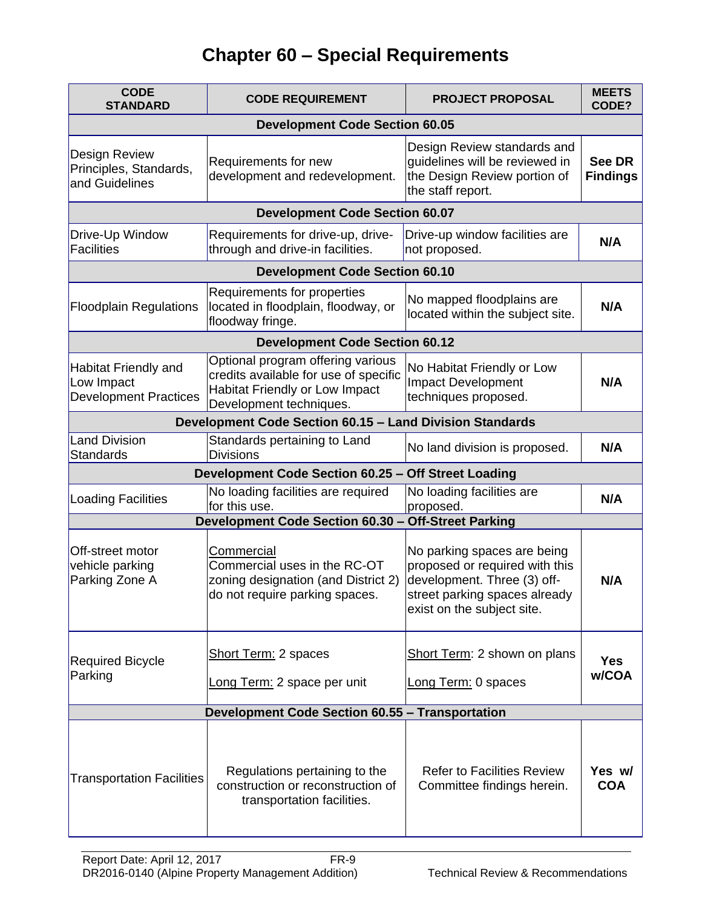# **Chapter 60 – Special Requirements**

| <b>CODE</b><br><b>CODE REQUIREMENT</b><br><b>STANDARD</b>                 |                                                                                                                                         | <b>PROJECT PROPOSAL</b>                                                                                                                                     | <b>MEETS</b><br>CODE?     |  |  |
|---------------------------------------------------------------------------|-----------------------------------------------------------------------------------------------------------------------------------------|-------------------------------------------------------------------------------------------------------------------------------------------------------------|---------------------------|--|--|
| <b>Development Code Section 60.05</b>                                     |                                                                                                                                         |                                                                                                                                                             |                           |  |  |
| <b>Design Review</b><br>Principles, Standards,<br>and Guidelines          | Requirements for new<br>development and redevelopment.                                                                                  | Design Review standards and<br>guidelines will be reviewed in<br>the Design Review portion of<br>the staff report.                                          | See DR<br><b>Findings</b> |  |  |
|                                                                           | <b>Development Code Section 60.07</b>                                                                                                   |                                                                                                                                                             |                           |  |  |
| Drive-Up Window<br><b>Facilities</b>                                      | Requirements for drive-up, drive-<br>through and drive-in facilities.                                                                   | Drive-up window facilities are<br>not proposed.                                                                                                             | N/A                       |  |  |
|                                                                           | <b>Development Code Section 60.10</b>                                                                                                   |                                                                                                                                                             |                           |  |  |
| <b>Floodplain Regulations</b>                                             | Requirements for properties<br>located in floodplain, floodway, or<br>floodway fringe.                                                  | No mapped floodplains are<br>located within the subject site.                                                                                               | N/A                       |  |  |
|                                                                           | <b>Development Code Section 60.12</b>                                                                                                   |                                                                                                                                                             |                           |  |  |
| <b>Habitat Friendly and</b><br>Low Impact<br><b>Development Practices</b> | Optional program offering various<br>credits available for use of specific<br>Habitat Friendly or Low Impact<br>Development techniques. | No Habitat Friendly or Low<br>Impact Development<br>techniques proposed.                                                                                    | N/A                       |  |  |
|                                                                           | <b>Development Code Section 60.15 - Land Division Standards</b>                                                                         |                                                                                                                                                             |                           |  |  |
| <b>Land Division</b><br><b>Standards</b>                                  | Standards pertaining to Land<br><b>Divisions</b>                                                                                        | No land division is proposed.                                                                                                                               | N/A                       |  |  |
|                                                                           | Development Code Section 60.25 - Off Street Loading                                                                                     |                                                                                                                                                             |                           |  |  |
| <b>Loading Facilities</b>                                                 | No loading facilities are required<br>for this use.                                                                                     | No loading facilities are<br>proposed.                                                                                                                      | N/A                       |  |  |
|                                                                           | Development Code Section 60.30 - Off-Street Parking                                                                                     |                                                                                                                                                             |                           |  |  |
| Off-street motor<br>vehicle parking<br>Parking Zone A                     | Commercial<br>Commercial uses in the RC-OT<br>zoning designation (and District 2)<br>do not require parking spaces.                     | No parking spaces are being<br>proposed or required with this<br>development. Three (3) off-<br>street parking spaces already<br>exist on the subject site. | N/A                       |  |  |
| <b>Required Bicycle</b><br>Parking                                        | <b>Short Term: 2 spaces</b><br>Long Term: 2 space per unit                                                                              | Short Term: 2 shown on plans<br>Long Term: 0 spaces                                                                                                         | <b>Yes</b><br>w/COA       |  |  |
|                                                                           | <b>Development Code Section 60.55 - Transportation</b>                                                                                  |                                                                                                                                                             |                           |  |  |
| <b>Transportation Facilities</b>                                          | Regulations pertaining to the<br>construction or reconstruction of<br>transportation facilities.                                        | <b>Refer to Facilities Review</b><br>Committee findings herein.                                                                                             | Yes w/<br><b>COA</b>      |  |  |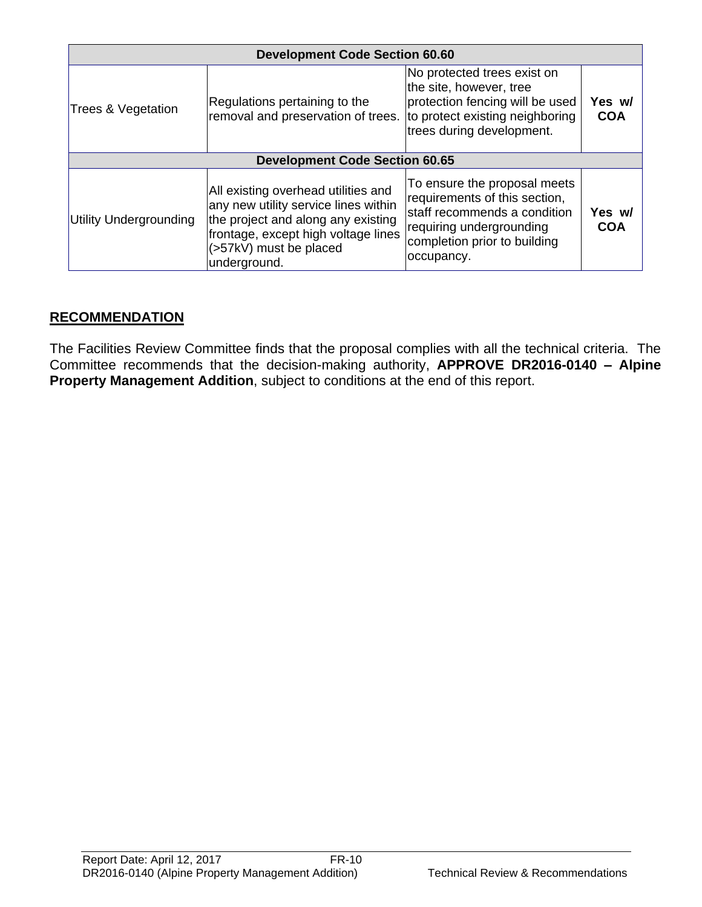| <b>Development Code Section 60.60</b> |                                                                                                                                                                                                    |                                                                                                                                                                         |                      |  |  |
|---------------------------------------|----------------------------------------------------------------------------------------------------------------------------------------------------------------------------------------------------|-------------------------------------------------------------------------------------------------------------------------------------------------------------------------|----------------------|--|--|
| Trees & Vegetation                    | Regulations pertaining to the<br>removal and preservation of trees.                                                                                                                                | No protected trees exist on<br>the site, however, tree<br>protection fencing will be used<br>to protect existing neighboring<br>trees during development.               | Yes w/<br><b>COA</b> |  |  |
|                                       | <b>Development Code Section 60.65</b>                                                                                                                                                              |                                                                                                                                                                         |                      |  |  |
| Utility Undergrounding                | All existing overhead utilities and<br>any new utility service lines within<br>the project and along any existing<br>frontage, except high voltage lines<br>(>57kV) must be placed<br>underground. | To ensure the proposal meets<br>requirements of this section,<br>staff recommends a condition<br>requiring undergrounding<br>completion prior to building<br>occupancy. | Yes w/<br><b>COA</b> |  |  |

# **RECOMMENDATION**

The Facilities Review Committee finds that the proposal complies with all the technical criteria. The Committee recommends that the decision-making authority, **APPROVE DR2016-0140 – Alpine Property Management Addition**, subject to conditions at the end of this report.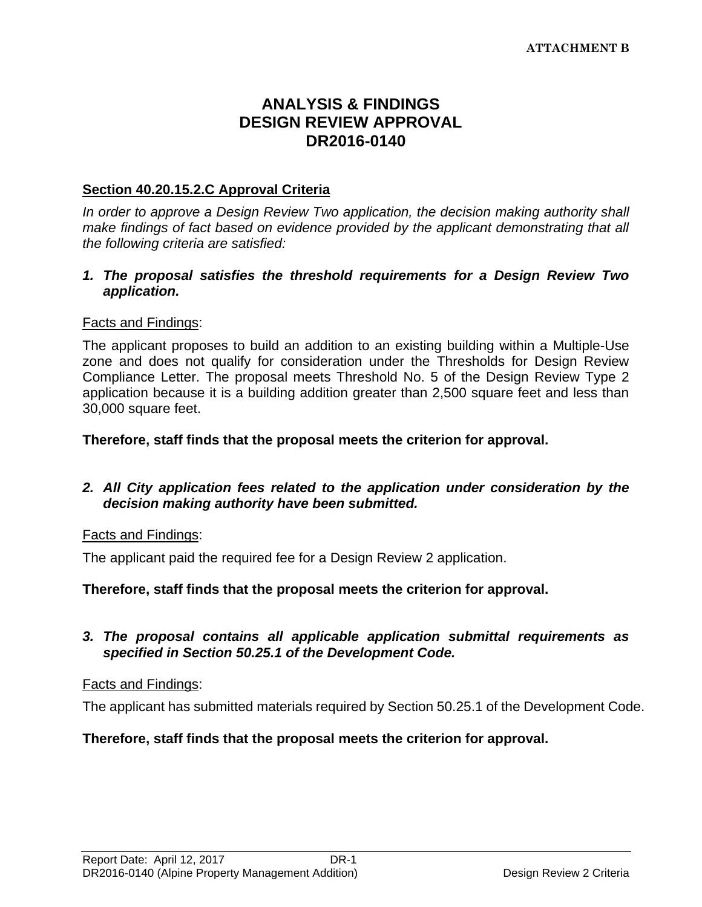# **ANALYSIS & FINDINGS DESIGN REVIEW APPROVAL DR2016-0140**

## **Section 40.20.15.2.C Approval Criteria**

*In order to approve a Design Review Two application, the decision making authority shall make findings of fact based on evidence provided by the applicant demonstrating that all the following criteria are satisfied:*

#### *1. The proposal satisfies the threshold requirements for a Design Review Two application.*

#### Facts and Findings:

The applicant proposes to build an addition to an existing building within a Multiple-Use zone and does not qualify for consideration under the Thresholds for Design Review Compliance Letter. The proposal meets Threshold No. 5 of the Design Review Type 2 application because it is a building addition greater than 2,500 square feet and less than 30,000 square feet.

**Therefore, staff finds that the proposal meets the criterion for approval.**

#### *2. All City application fees related to the application under consideration by the decision making authority have been submitted.*

#### Facts and Findings:

The applicant paid the required fee for a Design Review 2 application.

#### **Therefore, staff finds that the proposal meets the criterion for approval.**

#### *3. The proposal contains all applicable application submittal requirements as specified in Section 50.25.1 of the Development Code.*

#### Facts and Findings:

The applicant has submitted materials required by Section 50.25.1 of the Development Code.

#### **Therefore, staff finds that the proposal meets the criterion for approval.**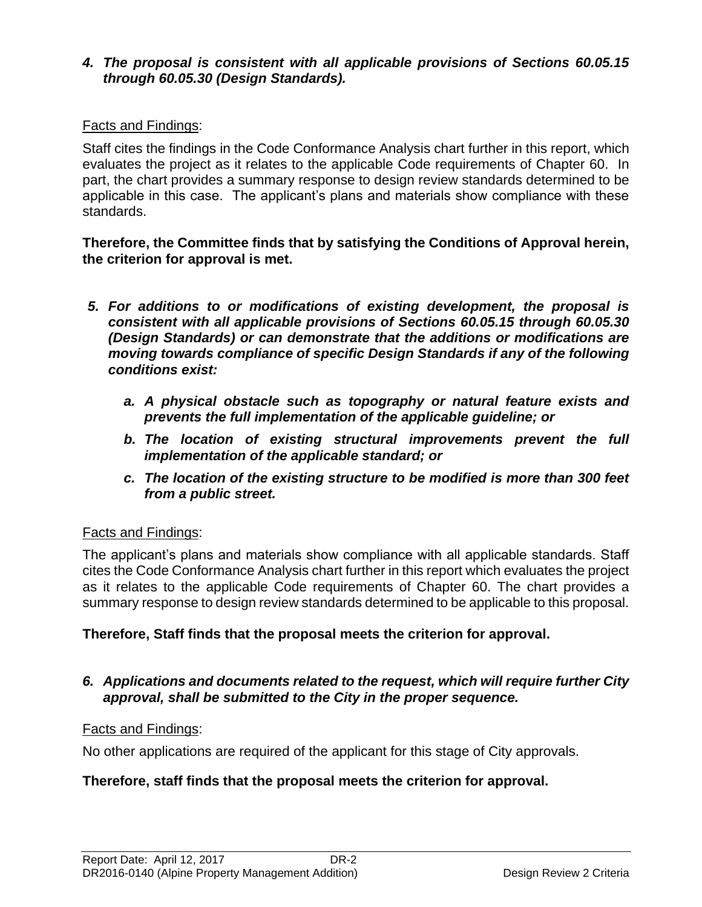# *4. The proposal is consistent with all applicable provisions of Sections 60.05.15 through 60.05.30 (Design Standards).*

# Facts and Findings:

Staff cites the findings in the Code Conformance Analysis chart further in this report, which evaluates the project as it relates to the applicable Code requirements of Chapter 60. In part, the chart provides a summary response to design review standards determined to be applicable in this case. The applicant's plans and materials show compliance with these standards.

#### **Therefore, the Committee finds that by satisfying the Conditions of Approval herein, the criterion for approval is met.**

- *5. For additions to or modifications of existing development, the proposal is consistent with all applicable provisions of Sections 60.05.15 through 60.05.30 (Design Standards) or can demonstrate that the additions or modifications are moving towards compliance of specific Design Standards if any of the following conditions exist:*
	- *a. A physical obstacle such as topography or natural feature exists and prevents the full implementation of the applicable guideline; or*
	- *b. The location of existing structural improvements prevent the full implementation of the applicable standard; or*
	- *c. The location of the existing structure to be modified is more than 300 feet from a public street.*

# Facts and Findings:

The applicant's plans and materials show compliance with all applicable standards. Staff cites the Code Conformance Analysis chart further in this report which evaluates the project as it relates to the applicable Code requirements of Chapter 60. The chart provides a summary response to design review standards determined to be applicable to this proposal.

#### **Therefore, Staff finds that the proposal meets the criterion for approval.**

#### *6. Applications and documents related to the request, which will require further City approval, shall be submitted to the City in the proper sequence.*

#### Facts and Findings:

No other applications are required of the applicant for this stage of City approvals.

# **Therefore, staff finds that the proposal meets the criterion for approval.**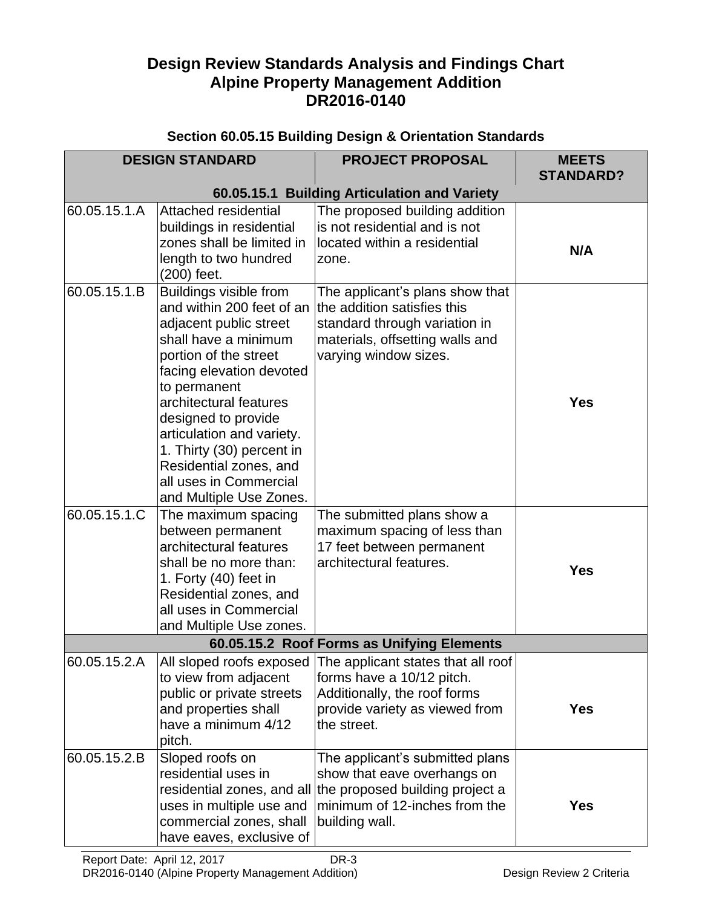# **Design Review Standards Analysis and Findings Chart Alpine Property Management Addition DR2016-0140**

|                              | <b>DESIGN STANDARD</b>                                                                                                                                                                                                                                                                                                                                                                                                                                               | <b>PROJECT PROPOSAL</b>                                                                                                                                                                                                                                                           | <b>MEETS</b><br><b>STANDARD?</b> |
|------------------------------|----------------------------------------------------------------------------------------------------------------------------------------------------------------------------------------------------------------------------------------------------------------------------------------------------------------------------------------------------------------------------------------------------------------------------------------------------------------------|-----------------------------------------------------------------------------------------------------------------------------------------------------------------------------------------------------------------------------------------------------------------------------------|----------------------------------|
|                              |                                                                                                                                                                                                                                                                                                                                                                                                                                                                      | 60.05.15.1 Building Articulation and Variety                                                                                                                                                                                                                                      |                                  |
| 60.05.15.1.A                 | Attached residential<br>buildings in residential<br>zones shall be limited in<br>length to two hundred<br>(200) feet.                                                                                                                                                                                                                                                                                                                                                | The proposed building addition<br>is not residential and is not<br>located within a residential<br>zone.                                                                                                                                                                          | N/A                              |
| 60.05.15.1.B<br>60.05.15.1.C | Buildings visible from<br>and within 200 feet of an<br>adjacent public street<br>shall have a minimum<br>portion of the street<br>facing elevation devoted<br>to permanent<br>architectural features<br>designed to provide<br>articulation and variety.<br>1. Thirty (30) percent in<br>Residential zones, and<br>all uses in Commercial<br>and Multiple Use Zones.<br>The maximum spacing<br>between permanent<br>architectural features<br>shall be no more than: | The applicant's plans show that<br>the addition satisfies this<br>standard through variation in<br>materials, offsetting walls and<br>varying window sizes.<br>The submitted plans show a<br>maximum spacing of less than<br>17 feet between permanent<br>architectural features. | <b>Yes</b>                       |
|                              | 1. Forty (40) feet in<br>Residential zones, and<br>all uses in Commercial<br>and Multiple Use zones.                                                                                                                                                                                                                                                                                                                                                                 |                                                                                                                                                                                                                                                                                   | <b>Yes</b>                       |
|                              |                                                                                                                                                                                                                                                                                                                                                                                                                                                                      | 60.05.15.2 Roof Forms as Unifying Elements                                                                                                                                                                                                                                        |                                  |
| 60.05.15.2.A                 | to view from adjacent<br>public or private streets<br>and properties shall<br>have a minimum 4/12<br>pitch.                                                                                                                                                                                                                                                                                                                                                          | All sloped roofs exposed The applicant states that all roof<br>forms have a 10/12 pitch.<br>Additionally, the roof forms<br>provide variety as viewed from<br>the street.                                                                                                         | <b>Yes</b>                       |
| 60.05.15.2.B                 | Sloped roofs on<br>residential uses in<br>residential zones, and all<br>uses in multiple use and<br>commercial zones, shall<br>have eaves, exclusive of                                                                                                                                                                                                                                                                                                              | The applicant's submitted plans<br>show that eave overhangs on<br>the proposed building project a<br>minimum of 12-inches from the<br>building wall.                                                                                                                              | <b>Yes</b>                       |

# **Section 60.05.15 Building Design & Orientation Standards**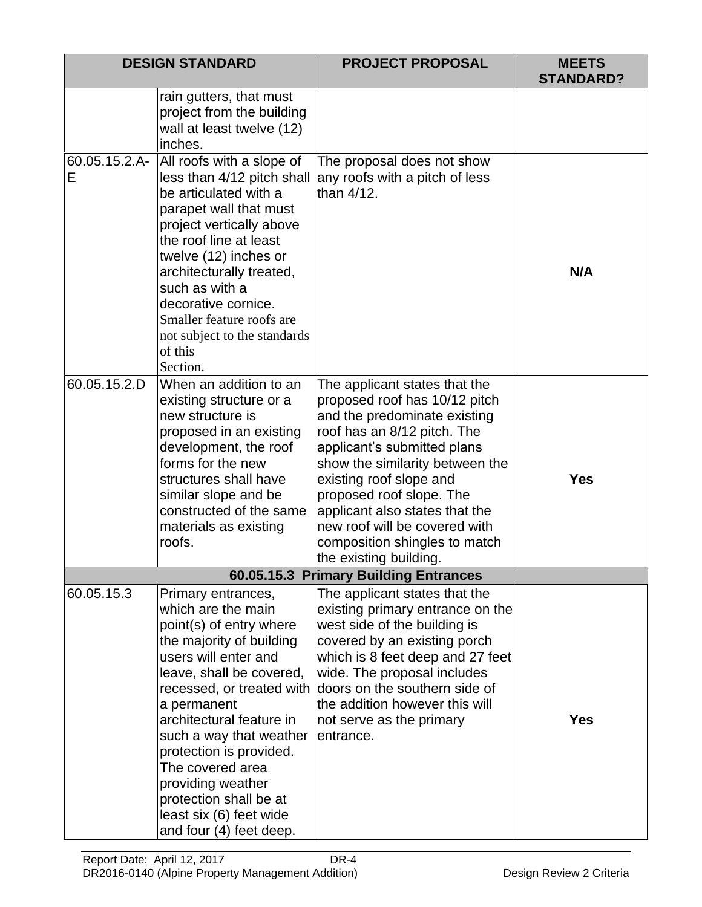|                    | <b>DESIGN STANDARD</b>                                                                                                                                                                                                                                                                                                                                                                                     | <b>PROJECT PROPOSAL</b>                                                                                                                                                                                                                                                                                                                                                              | <b>MEETS</b><br><b>STANDARD?</b> |
|--------------------|------------------------------------------------------------------------------------------------------------------------------------------------------------------------------------------------------------------------------------------------------------------------------------------------------------------------------------------------------------------------------------------------------------|--------------------------------------------------------------------------------------------------------------------------------------------------------------------------------------------------------------------------------------------------------------------------------------------------------------------------------------------------------------------------------------|----------------------------------|
|                    | rain gutters, that must<br>project from the building<br>wall at least twelve (12)<br>inches.                                                                                                                                                                                                                                                                                                               |                                                                                                                                                                                                                                                                                                                                                                                      |                                  |
| 60.05.15.2.A-<br>Е | All roofs with a slope of<br>less than 4/12 pitch shall<br>be articulated with a<br>parapet wall that must<br>project vertically above<br>the roof line at least<br>twelve (12) inches or<br>architecturally treated,<br>such as with a<br>decorative cornice.<br>Smaller feature roofs are<br>not subject to the standards<br>of this<br>Section.                                                         | The proposal does not show<br>any roofs with a pitch of less<br>than 4/12.                                                                                                                                                                                                                                                                                                           | N/A                              |
| 60.05.15.2.D       | When an addition to an<br>existing structure or a<br>new structure is<br>proposed in an existing<br>development, the roof<br>forms for the new<br>structures shall have<br>similar slope and be<br>constructed of the same<br>materials as existing<br>roofs.                                                                                                                                              | The applicant states that the<br>proposed roof has 10/12 pitch<br>and the predominate existing<br>roof has an 8/12 pitch. The<br>applicant's submitted plans<br>show the similarity between the<br>existing roof slope and<br>proposed roof slope. The<br>applicant also states that the<br>new roof will be covered with<br>composition shingles to match<br>the existing building. | <b>Yes</b>                       |
|                    |                                                                                                                                                                                                                                                                                                                                                                                                            | 60.05.15.3 Primary Building Entrances                                                                                                                                                                                                                                                                                                                                                |                                  |
| 60.05.15.3         | Primary entrances,<br>which are the main<br>point(s) of entry where<br>the majority of building<br>users will enter and<br>leave, shall be covered,<br>recessed, or treated with<br>a permanent<br>architectural feature in<br>such a way that weather<br>protection is provided.<br>The covered area<br>providing weather<br>protection shall be at<br>least six (6) feet wide<br>and four (4) feet deep. | The applicant states that the<br>existing primary entrance on the<br>west side of the building is<br>covered by an existing porch<br>which is 8 feet deep and 27 feet<br>wide. The proposal includes<br>doors on the southern side of<br>the addition however this will<br>not serve as the primary<br>entrance.                                                                     | <b>Yes</b>                       |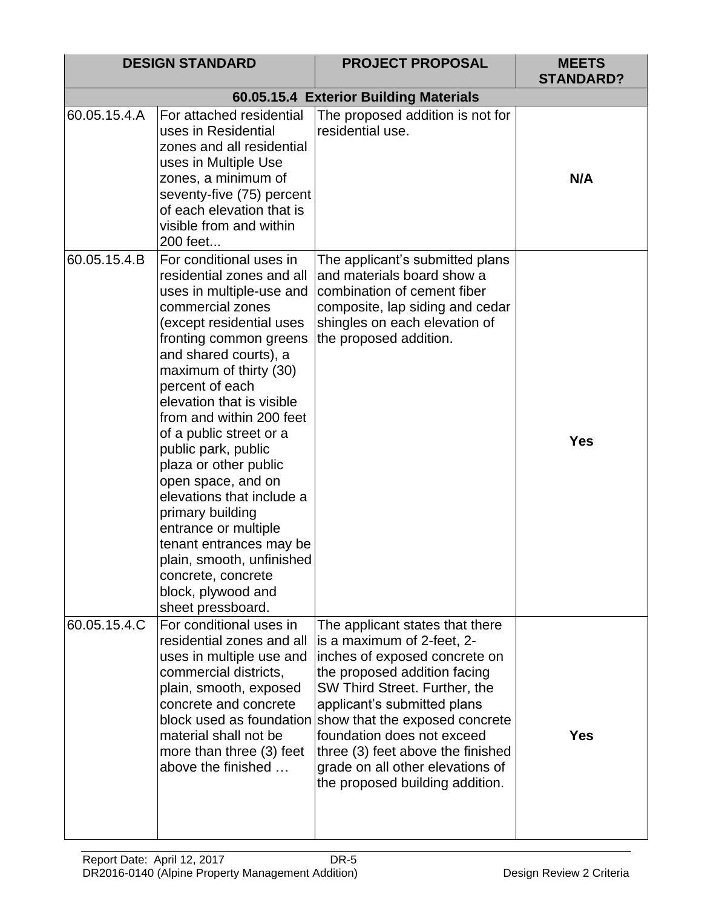|              | <b>DESIGN STANDARD</b>                                                                                                                                                                                                                                                                                                                                                                                                                                                                                                                                                                       | <b>PROJECT PROPOSAL</b>                                                                                                                                                                                                                                                                                                                                                    | <b>MEETS</b><br><b>STANDARD?</b> |
|--------------|----------------------------------------------------------------------------------------------------------------------------------------------------------------------------------------------------------------------------------------------------------------------------------------------------------------------------------------------------------------------------------------------------------------------------------------------------------------------------------------------------------------------------------------------------------------------------------------------|----------------------------------------------------------------------------------------------------------------------------------------------------------------------------------------------------------------------------------------------------------------------------------------------------------------------------------------------------------------------------|----------------------------------|
|              |                                                                                                                                                                                                                                                                                                                                                                                                                                                                                                                                                                                              | 60.05.15.4 Exterior Building Materials                                                                                                                                                                                                                                                                                                                                     |                                  |
| 60.05.15.4.A | For attached residential<br>uses in Residential<br>zones and all residential<br>uses in Multiple Use<br>zones, a minimum of<br>seventy-five (75) percent<br>of each elevation that is<br>visible from and within<br>200 feet                                                                                                                                                                                                                                                                                                                                                                 | The proposed addition is not for<br>residential use.                                                                                                                                                                                                                                                                                                                       | N/A                              |
| 60.05.15.4.B | For conditional uses in<br>residential zones and all<br>uses in multiple-use and<br>commercial zones<br>(except residential uses<br>fronting common greens<br>and shared courts), a<br>maximum of thirty (30)<br>percent of each<br>elevation that is visible<br>from and within 200 feet<br>of a public street or a<br>public park, public<br>plaza or other public<br>open space, and on<br>elevations that include a<br>primary building<br>entrance or multiple<br>tenant entrances may be<br>plain, smooth, unfinished<br>concrete, concrete<br>block, plywood and<br>sheet pressboard. | The applicant's submitted plans<br>and materials board show a<br>combination of cement fiber<br>composite, lap siding and cedar<br>shingles on each elevation of<br>the proposed addition.                                                                                                                                                                                 | <b>Yes</b>                       |
| 60.05.15.4.C | For conditional uses in<br>residential zones and all<br>uses in multiple use and<br>commercial districts,<br>plain, smooth, exposed<br>concrete and concrete<br>block used as foundation<br>material shall not be<br>more than three (3) feet<br>above the finished                                                                                                                                                                                                                                                                                                                          | The applicant states that there<br>is a maximum of 2-feet, 2-<br>inches of exposed concrete on<br>the proposed addition facing<br>SW Third Street. Further, the<br>applicant's submitted plans<br>show that the exposed concrete<br>foundation does not exceed<br>three (3) feet above the finished<br>grade on all other elevations of<br>the proposed building addition. | <b>Yes</b>                       |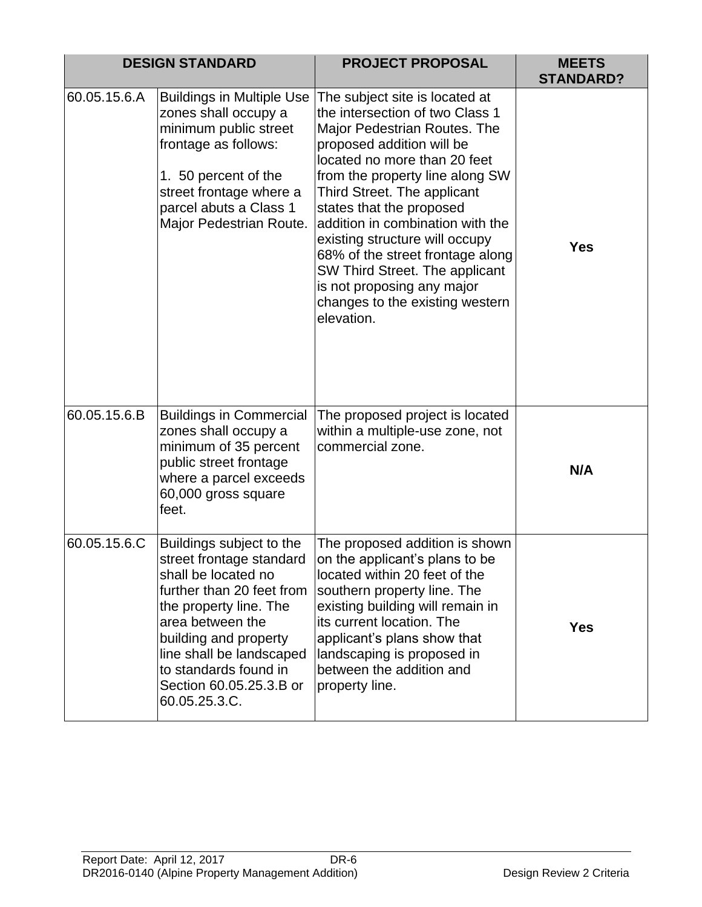|              | <b>DESIGN STANDARD</b>                                                                                                                                                                                                                                                           | <b>PROJECT PROPOSAL</b>                                                                                                                                                                                                                                                                                                                                                                                                                                                                 | <b>MEETS</b><br><b>STANDARD?</b> |
|--------------|----------------------------------------------------------------------------------------------------------------------------------------------------------------------------------------------------------------------------------------------------------------------------------|-----------------------------------------------------------------------------------------------------------------------------------------------------------------------------------------------------------------------------------------------------------------------------------------------------------------------------------------------------------------------------------------------------------------------------------------------------------------------------------------|----------------------------------|
| 60.05.15.6.A | <b>Buildings in Multiple Use</b><br>zones shall occupy a<br>minimum public street<br>frontage as follows:<br>1. 50 percent of the<br>street frontage where a<br>parcel abuts a Class 1<br>Major Pedestrian Route.                                                                | The subject site is located at<br>the intersection of two Class 1<br>Major Pedestrian Routes. The<br>proposed addition will be<br>located no more than 20 feet<br>from the property line along SW<br>Third Street. The applicant<br>states that the proposed<br>addition in combination with the<br>existing structure will occupy<br>68% of the street frontage along<br>SW Third Street. The applicant<br>is not proposing any major<br>changes to the existing western<br>elevation. | <b>Yes</b>                       |
| 60.05.15.6.B | <b>Buildings in Commercial</b><br>zones shall occupy a<br>minimum of 35 percent<br>public street frontage<br>where a parcel exceeds<br>60,000 gross square<br>feet.                                                                                                              | The proposed project is located<br>within a multiple-use zone, not<br>commercial zone.                                                                                                                                                                                                                                                                                                                                                                                                  | N/A                              |
| 60.05.15.6.C | Buildings subject to the<br>street frontage standard<br>shall be located no<br>further than 20 feet from<br>the property line. The<br>area between the<br>building and property<br>line shall be landscaped<br>to standards found in<br>Section 60.05.25.3.B or<br>60.05.25.3.C. | The proposed addition is shown<br>on the applicant's plans to be<br>located within 20 feet of the<br>southern property line. The<br>existing building will remain in<br>its current location. The<br>applicant's plans show that<br>landscaping is proposed in<br>between the addition and<br>property line.                                                                                                                                                                            | <b>Yes</b>                       |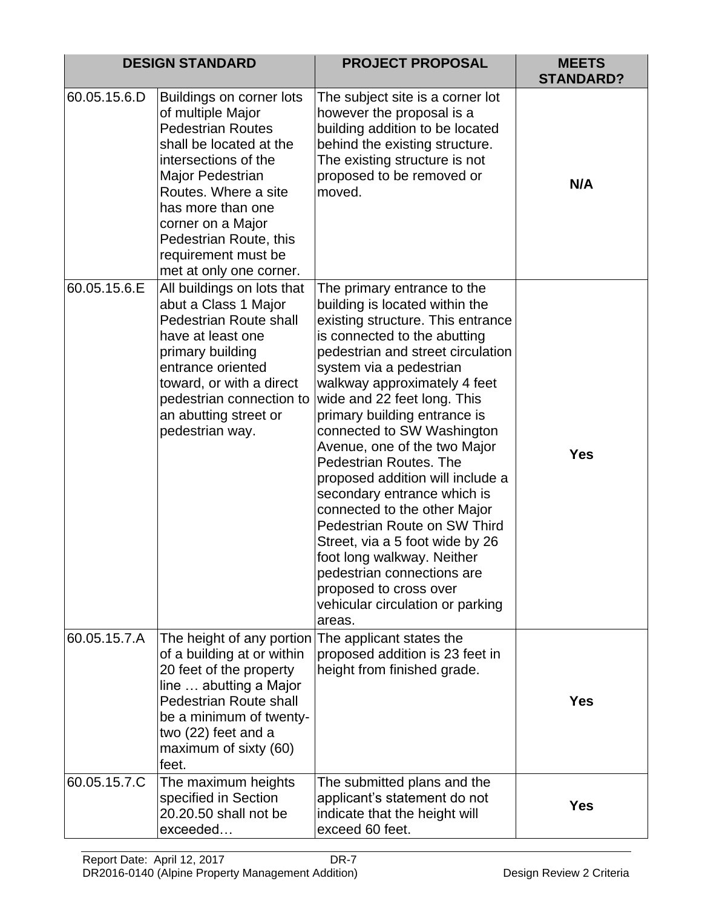|              | <b>DESIGN STANDARD</b>                                                                                                                                                                                                                                                                         | <b>PROJECT PROPOSAL</b>                                                                                                                                                                                                                                                                                                                                                                                                                                                                                                                                                                                                                                                                             | <b>MEETS</b><br><b>STANDARD?</b> |
|--------------|------------------------------------------------------------------------------------------------------------------------------------------------------------------------------------------------------------------------------------------------------------------------------------------------|-----------------------------------------------------------------------------------------------------------------------------------------------------------------------------------------------------------------------------------------------------------------------------------------------------------------------------------------------------------------------------------------------------------------------------------------------------------------------------------------------------------------------------------------------------------------------------------------------------------------------------------------------------------------------------------------------------|----------------------------------|
| 60.05.15.6.D | Buildings on corner lots<br>of multiple Major<br><b>Pedestrian Routes</b><br>shall be located at the<br>intersections of the<br>Major Pedestrian<br>Routes. Where a site<br>has more than one<br>corner on a Major<br>Pedestrian Route, this<br>requirement must be<br>met at only one corner. | The subject site is a corner lot<br>however the proposal is a<br>building addition to be located<br>behind the existing structure.<br>The existing structure is not<br>proposed to be removed or<br>moved.                                                                                                                                                                                                                                                                                                                                                                                                                                                                                          | N/A                              |
| 60.05.15.6.E | All buildings on lots that<br>abut a Class 1 Major<br>Pedestrian Route shall<br>have at least one<br>primary building<br>entrance oriented<br>toward, or with a direct<br>pedestrian connection to<br>an abutting street or<br>pedestrian way.                                                 | The primary entrance to the<br>building is located within the<br>existing structure. This entrance<br>is connected to the abutting<br>pedestrian and street circulation<br>system via a pedestrian<br>walkway approximately 4 feet<br>wide and 22 feet long. This<br>primary building entrance is<br>connected to SW Washington<br>Avenue, one of the two Major<br>Pedestrian Routes. The<br>proposed addition will include a<br>secondary entrance which is<br>connected to the other Major<br>Pedestrian Route on SW Third<br>Street, via a 5 foot wide by 26<br>foot long walkway. Neither<br>pedestrian connections are<br>proposed to cross over<br>vehicular circulation or parking<br>areas. | <b>Yes</b>                       |
| 60.05.15.7.A | The height of any portion<br>of a building at or within<br>20 feet of the property<br>line  abutting a Major<br><b>Pedestrian Route shall</b><br>be a minimum of twenty-<br>two (22) feet and a<br>maximum of sixty (60)<br>feet.                                                              | The applicant states the<br>proposed addition is 23 feet in<br>height from finished grade.                                                                                                                                                                                                                                                                                                                                                                                                                                                                                                                                                                                                          | <b>Yes</b>                       |
| 60.05.15.7.C | The maximum heights<br>specified in Section<br>20.20.50 shall not be<br>exceeded                                                                                                                                                                                                               | The submitted plans and the<br>applicant's statement do not<br>indicate that the height will<br>exceed 60 feet.                                                                                                                                                                                                                                                                                                                                                                                                                                                                                                                                                                                     | <b>Yes</b>                       |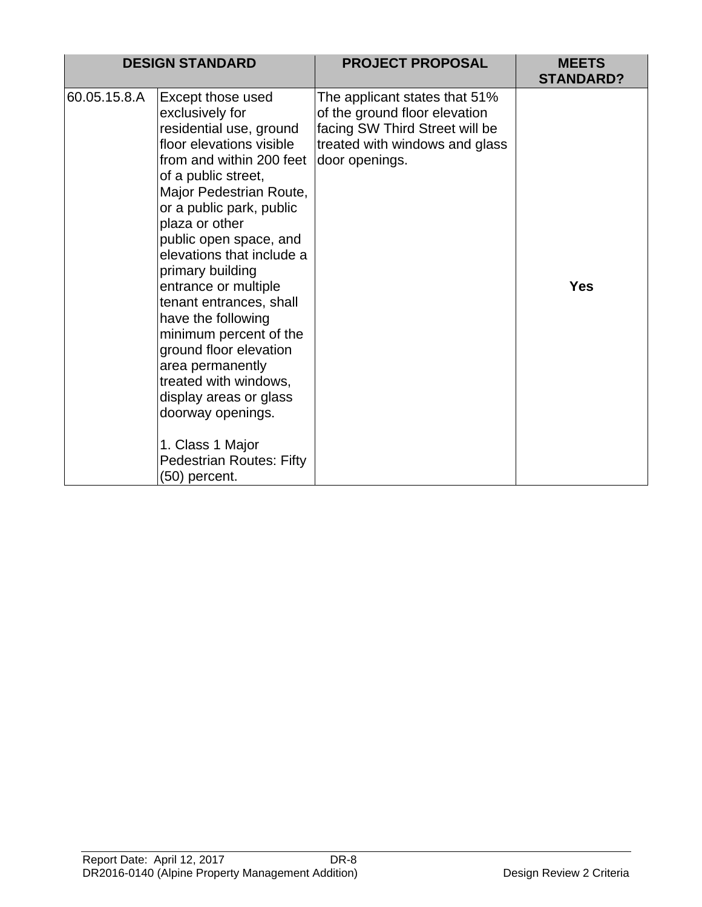|              | <b>DESIGN STANDARD</b>                                                                                                                                                                                                                                                                                                                                                                                                                                                                                                                                                                       | <b>PROJECT PROPOSAL</b>                                                                                                                              | <b>MEETS</b><br><b>STANDARD?</b> |
|--------------|----------------------------------------------------------------------------------------------------------------------------------------------------------------------------------------------------------------------------------------------------------------------------------------------------------------------------------------------------------------------------------------------------------------------------------------------------------------------------------------------------------------------------------------------------------------------------------------------|------------------------------------------------------------------------------------------------------------------------------------------------------|----------------------------------|
| 60.05.15.8.A | Except those used<br>exclusively for<br>residential use, ground<br>floor elevations visible<br>from and within 200 feet<br>of a public street,<br>Major Pedestrian Route,<br>or a public park, public<br>plaza or other<br>public open space, and<br>elevations that include a<br>primary building<br>entrance or multiple<br>tenant entrances, shall<br>have the following<br>minimum percent of the<br>ground floor elevation<br>area permanently<br>treated with windows,<br>display areas or glass<br>doorway openings.<br>1. Class 1 Major<br>Pedestrian Routes: Fifty<br>(50) percent. | The applicant states that 51%<br>of the ground floor elevation<br>facing SW Third Street will be<br>treated with windows and glass<br>door openings. | <b>Yes</b>                       |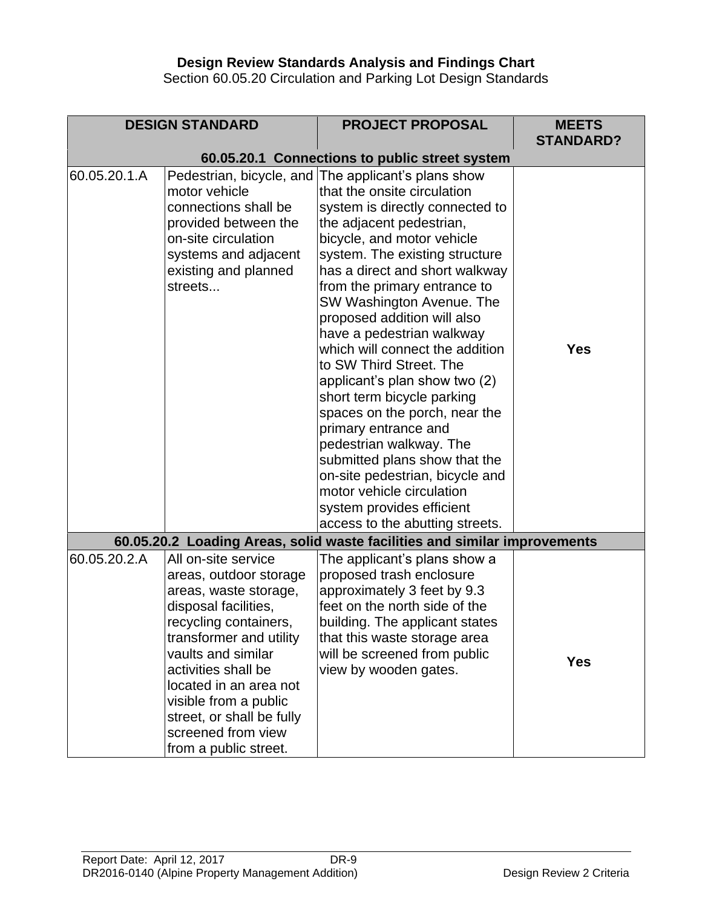# **Design Review Standards Analysis and Findings Chart**

Section 60.05.20 Circulation and Parking Lot Design Standards

|              | <b>DESIGN STANDARD</b>                                                                                                                                                                                                                                                                                                        | <b>PROJECT PROPOSAL</b>                                                                                                                                                                                                                                                                                                                                                                                                                                                                                                                                                                                                                                                                                                                                                                                          | <b>MEETS</b>     |
|--------------|-------------------------------------------------------------------------------------------------------------------------------------------------------------------------------------------------------------------------------------------------------------------------------------------------------------------------------|------------------------------------------------------------------------------------------------------------------------------------------------------------------------------------------------------------------------------------------------------------------------------------------------------------------------------------------------------------------------------------------------------------------------------------------------------------------------------------------------------------------------------------------------------------------------------------------------------------------------------------------------------------------------------------------------------------------------------------------------------------------------------------------------------------------|------------------|
|              |                                                                                                                                                                                                                                                                                                                               |                                                                                                                                                                                                                                                                                                                                                                                                                                                                                                                                                                                                                                                                                                                                                                                                                  | <b>STANDARD?</b> |
| 60.05.20.1.A | motor vehicle<br>connections shall be<br>provided between the<br>on-site circulation<br>systems and adjacent<br>existing and planned<br>streets                                                                                                                                                                               | 60.05.20.1 Connections to public street system<br>Pedestrian, bicycle, and The applicant's plans show<br>that the onsite circulation<br>system is directly connected to<br>the adjacent pedestrian,<br>bicycle, and motor vehicle<br>system. The existing structure<br>has a direct and short walkway<br>from the primary entrance to<br>SW Washington Avenue. The<br>proposed addition will also<br>have a pedestrian walkway<br>which will connect the addition<br>to SW Third Street. The<br>applicant's plan show two (2)<br>short term bicycle parking<br>spaces on the porch, near the<br>primary entrance and<br>pedestrian walkway. The<br>submitted plans show that the<br>on-site pedestrian, bicycle and<br>motor vehicle circulation<br>system provides efficient<br>access to the abutting streets. | <b>Yes</b>       |
|              |                                                                                                                                                                                                                                                                                                                               | 60.05.20.2 Loading Areas, solid waste facilities and similar improvements                                                                                                                                                                                                                                                                                                                                                                                                                                                                                                                                                                                                                                                                                                                                        |                  |
| 60.05.20.2.A | All on-site service<br>areas, outdoor storage<br>areas, waste storage,<br>disposal facilities,<br>recycling containers<br>transformer and utility<br>vaults and similar<br>activities shall be<br>located in an area not<br>visible from a public<br>street, or shall be fully<br>screened from view<br>from a public street. | The applicant's plans show a<br>proposed trash enclosure<br>approximately 3 feet by 9.3<br>feet on the north side of the<br>building. The applicant states<br>that this waste storage area<br>will be screened from public<br>view by wooden gates.                                                                                                                                                                                                                                                                                                                                                                                                                                                                                                                                                              | <b>Yes</b>       |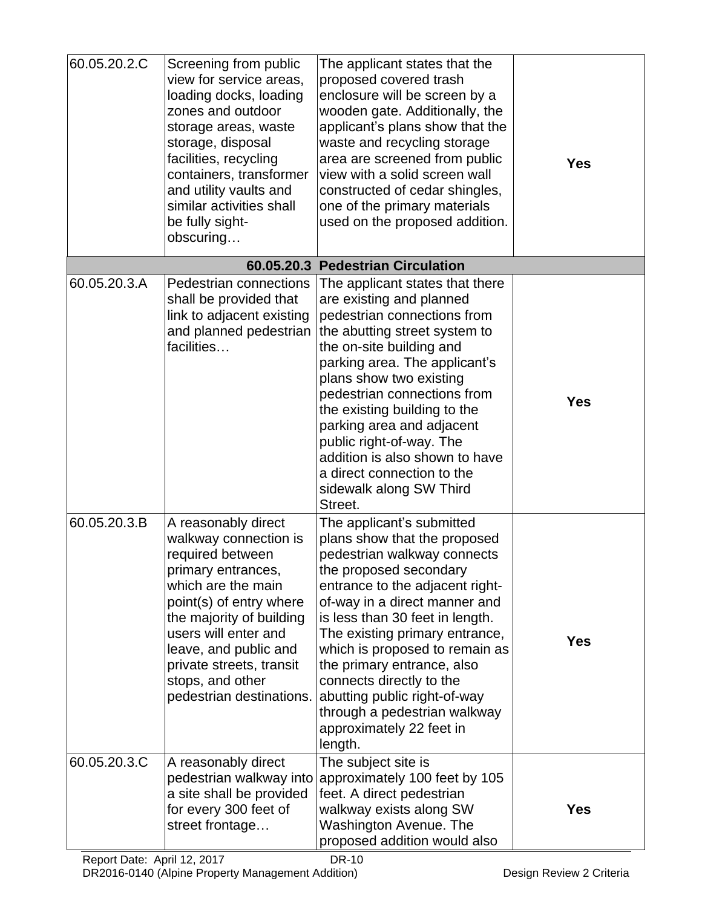| 60.05.20.2.C | Screening from public<br>view for service areas,<br>loading docks, loading<br>zones and outdoor<br>storage areas, waste<br>storage, disposal<br>facilities, recycling<br>containers, transformer<br>and utility vaults and<br>similar activities shall<br>be fully sight-<br>obscuring           | The applicant states that the<br>proposed covered trash<br>enclosure will be screen by a<br>wooden gate. Additionally, the<br>applicant's plans show that the<br>waste and recycling storage<br>area are screened from public<br>view with a solid screen wall<br>constructed of cedar shingles,<br>one of the primary materials<br>used on the proposed addition.                                                                                             | <b>Yes</b> |
|--------------|--------------------------------------------------------------------------------------------------------------------------------------------------------------------------------------------------------------------------------------------------------------------------------------------------|----------------------------------------------------------------------------------------------------------------------------------------------------------------------------------------------------------------------------------------------------------------------------------------------------------------------------------------------------------------------------------------------------------------------------------------------------------------|------------|
|              |                                                                                                                                                                                                                                                                                                  | 60.05.20.3 Pedestrian Circulation                                                                                                                                                                                                                                                                                                                                                                                                                              |            |
| 60.05.20.3.A | Pedestrian connections<br>shall be provided that<br>link to adjacent existing<br>and planned pedestrian<br>facilities                                                                                                                                                                            | The applicant states that there<br>are existing and planned<br>pedestrian connections from<br>the abutting street system to<br>the on-site building and<br>parking area. The applicant's<br>plans show two existing<br>pedestrian connections from<br>the existing building to the<br>parking area and adjacent<br>public right-of-way. The<br>addition is also shown to have<br>a direct connection to the<br>sidewalk along SW Third<br>Street.              | <b>Yes</b> |
| 60.05.20.3.B | A reasonably direct<br>walkway connection is<br>required between<br>primary entrances,<br>which are the main<br>point(s) of entry where<br>the majority of building<br>users will enter and<br>leave, and public and<br>private streets, transit<br>stops, and other<br>pedestrian destinations. | The applicant's submitted<br>plans show that the proposed<br>pedestrian walkway connects<br>the proposed secondary<br>entrance to the adjacent right-<br>of-way in a direct manner and<br>is less than 30 feet in length.<br>The existing primary entrance,<br>which is proposed to remain as<br>the primary entrance, also<br>connects directly to the<br>abutting public right-of-way<br>through a pedestrian walkway<br>approximately 22 feet in<br>length. | <b>Yes</b> |
| 60.05.20.3.C | A reasonably direct<br>pedestrian walkway into<br>a site shall be provided<br>for every 300 feet of<br>street frontage                                                                                                                                                                           | The subject site is<br>approximately 100 feet by 105<br>feet. A direct pedestrian<br>walkway exists along SW<br><b>Washington Avenue. The</b><br>proposed addition would also                                                                                                                                                                                                                                                                                  | <b>Yes</b> |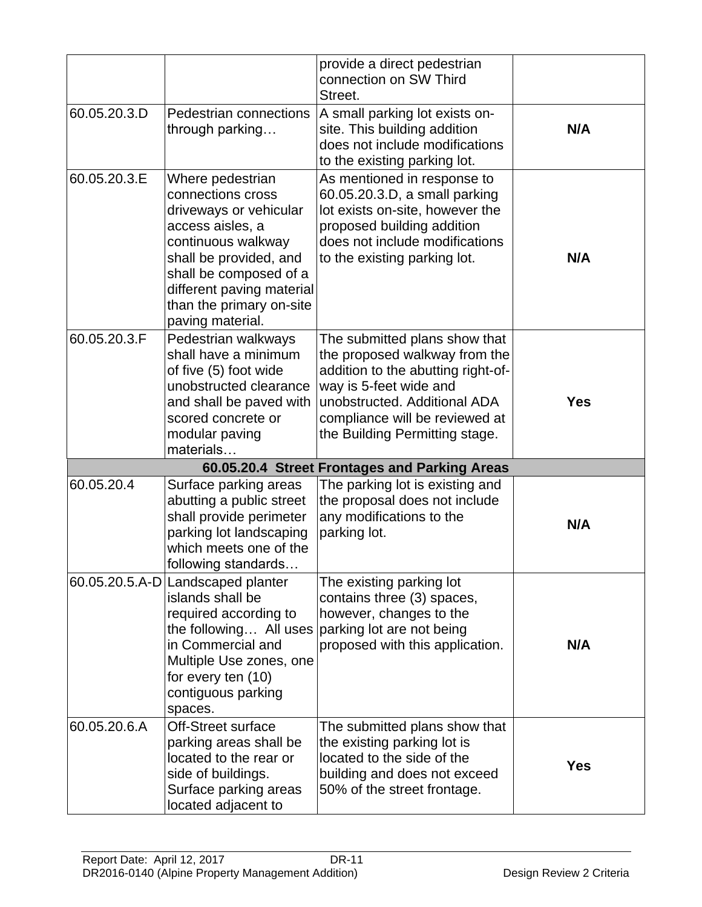|              |                                                                                                                                                                                                                                            | provide a direct pedestrian                                                                                                                                                                                                        |            |
|--------------|--------------------------------------------------------------------------------------------------------------------------------------------------------------------------------------------------------------------------------------------|------------------------------------------------------------------------------------------------------------------------------------------------------------------------------------------------------------------------------------|------------|
|              |                                                                                                                                                                                                                                            | connection on SW Third<br>Street.                                                                                                                                                                                                  |            |
| 60.05.20.3.D | Pedestrian connections<br>through parking                                                                                                                                                                                                  | A small parking lot exists on-<br>site. This building addition<br>does not include modifications<br>to the existing parking lot.                                                                                                   | N/A        |
| 60.05.20.3.E | Where pedestrian<br>connections cross<br>driveways or vehicular<br>access aisles, a<br>continuous walkway<br>shall be provided, and<br>shall be composed of a<br>different paving material<br>than the primary on-site<br>paving material. | As mentioned in response to<br>60.05.20.3.D, a small parking<br>lot exists on-site, however the<br>proposed building addition<br>does not include modifications<br>to the existing parking lot.                                    | N/A        |
| 60.05.20.3.F | Pedestrian walkways<br>shall have a minimum<br>of five (5) foot wide<br>unobstructed clearance<br>and shall be paved with<br>scored concrete or<br>modular paving<br>materials                                                             | The submitted plans show that<br>the proposed walkway from the<br>addition to the abutting right-of-<br>way is 5-feet wide and<br>unobstructed. Additional ADA<br>compliance will be reviewed at<br>the Building Permitting stage. | <b>Yes</b> |
|              |                                                                                                                                                                                                                                            | 60.05.20.4 Street Frontages and Parking Areas                                                                                                                                                                                      |            |
| 60.05.20.4   | Surface parking areas<br>abutting a public street<br>shall provide perimeter<br>parking lot landscaping<br>which meets one of the<br>following standards                                                                                   | The parking lot is existing and<br>the proposal does not include<br>any modifications to the<br>parking lot.                                                                                                                       | N/A        |
|              | 60.05.20.5.A-D Landscaped planter<br>islands shall be<br>required according to<br>the following All uses<br>in Commercial and<br>Multiple Use zones, one<br>for every ten (10)<br>contiguous parking<br>spaces.                            | The existing parking lot<br>contains three (3) spaces,<br>however, changes to the<br>parking lot are not being<br>proposed with this application.                                                                                  | N/A        |
| 60.05.20.6.A | <b>Off-Street surface</b><br>parking areas shall be<br>located to the rear or<br>side of buildings.<br>Surface parking areas<br>located adjacent to                                                                                        | The submitted plans show that<br>the existing parking lot is<br>located to the side of the<br>building and does not exceed<br>50% of the street frontage.                                                                          | <b>Yes</b> |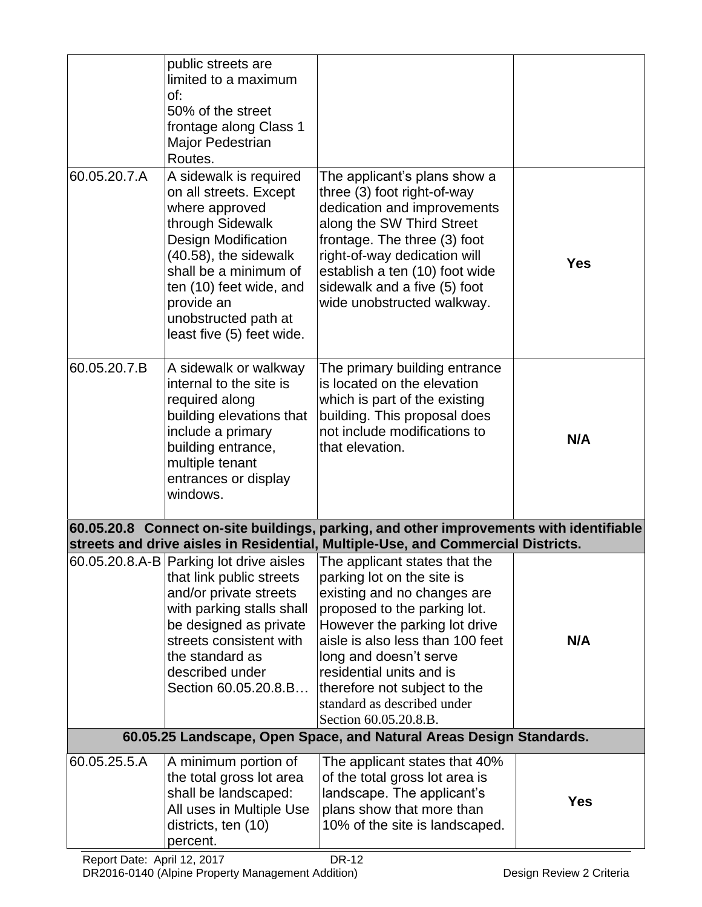|              | public streets are<br>limited to a maximum<br>of:<br>50% of the street<br>frontage along Class 1<br>Major Pedestrian<br>Routes.                                                                                                                                      |                                                                                                                                                                                                                                                                                                                                                                                         |            |
|--------------|----------------------------------------------------------------------------------------------------------------------------------------------------------------------------------------------------------------------------------------------------------------------|-----------------------------------------------------------------------------------------------------------------------------------------------------------------------------------------------------------------------------------------------------------------------------------------------------------------------------------------------------------------------------------------|------------|
| 60.05.20.7.A | A sidewalk is required<br>on all streets. Except<br>where approved<br>through Sidewalk<br><b>Design Modification</b><br>(40.58), the sidewalk<br>shall be a minimum of<br>ten (10) feet wide, and<br>provide an<br>unobstructed path at<br>least five (5) feet wide. | The applicant's plans show a<br>three (3) foot right-of-way<br>dedication and improvements<br>along the SW Third Street<br>frontage. The three (3) foot<br>right-of-way dedication will<br>establish a ten (10) foot wide<br>sidewalk and a five (5) foot<br>wide unobstructed walkway.                                                                                                 | <b>Yes</b> |
| 60.05.20.7.B | A sidewalk or walkway<br>internal to the site is<br>required along<br>building elevations that<br>include a primary<br>building entrance,<br>multiple tenant<br>entrances or display<br>windows.                                                                     | The primary building entrance<br>is located on the elevation<br>which is part of the existing<br>building. This proposal does<br>not include modifications to<br>that elevation.                                                                                                                                                                                                        | N/A        |
|              |                                                                                                                                                                                                                                                                      | 60.05.20.8 Connect on-site buildings, parking, and other improvements with identifiable<br>streets and drive aisles in Residential, Multiple-Use, and Commercial Districts.                                                                                                                                                                                                             |            |
|              | that link public streets<br>and/or private streets<br>with parking stalls shall<br>be designed as private<br>streets consistent with<br>the standard as<br>described under<br>Section 60.05.20.8.B                                                                   | 60.05.20.8.A-B Parking lot drive aisles   The applicant states that the<br>parking lot on the site is<br>existing and no changes are<br>proposed to the parking lot.<br>However the parking lot drive<br>aisle is also less than 100 feet<br>long and doesn't serve<br>residential units and is<br>therefore not subject to the<br>standard as described under<br>Section 60.05.20.8.B. | N/A        |
|              |                                                                                                                                                                                                                                                                      | 60.05.25 Landscape, Open Space, and Natural Areas Design Standards.                                                                                                                                                                                                                                                                                                                     |            |
| 60.05.25.5.A | A minimum portion of<br>the total gross lot area<br>shall be landscaped:<br>All uses in Multiple Use<br>districts, ten (10)<br>percent.                                                                                                                              | The applicant states that 40%<br>of the total gross lot area is<br>landscape. The applicant's<br>plans show that more than<br>10% of the site is landscaped.                                                                                                                                                                                                                            | <b>Yes</b> |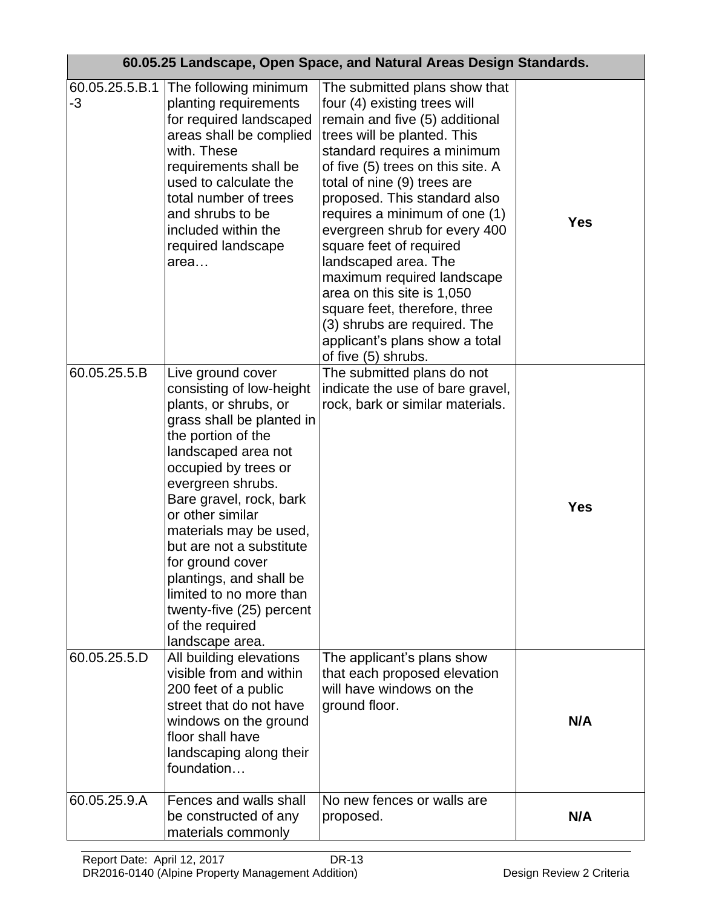|                      |                                                                                                                                                                                                                                                                                                                                                                                                                                                | 60.05.25 Landscape, Open Space, and Natural Areas Design Standards.                                                                                                                                                                                                                                                                                                                                                                                                                                                                                                          |            |
|----------------------|------------------------------------------------------------------------------------------------------------------------------------------------------------------------------------------------------------------------------------------------------------------------------------------------------------------------------------------------------------------------------------------------------------------------------------------------|------------------------------------------------------------------------------------------------------------------------------------------------------------------------------------------------------------------------------------------------------------------------------------------------------------------------------------------------------------------------------------------------------------------------------------------------------------------------------------------------------------------------------------------------------------------------------|------------|
| 60.05.25.5.B.1<br>-3 | The following minimum<br>planting requirements<br>for required landscaped<br>areas shall be complied<br>with. These<br>requirements shall be<br>used to calculate the<br>total number of trees<br>and shrubs to be<br>included within the<br>required landscape<br>area                                                                                                                                                                        | The submitted plans show that<br>four (4) existing trees will<br>remain and five (5) additional<br>trees will be planted. This<br>standard requires a minimum<br>of five (5) trees on this site. A<br>total of nine (9) trees are<br>proposed. This standard also<br>requires a minimum of one (1)<br>evergreen shrub for every 400<br>square feet of required<br>landscaped area. The<br>maximum required landscape<br>area on this site is 1,050<br>square feet, therefore, three<br>(3) shrubs are required. The<br>applicant's plans show a total<br>of five (5) shrubs. | <b>Yes</b> |
| 60.05.25.5.B         | Live ground cover<br>consisting of low-height<br>plants, or shrubs, or<br>grass shall be planted in<br>the portion of the<br>landscaped area not<br>occupied by trees or<br>evergreen shrubs.<br>Bare gravel, rock, bark<br>or other similar<br>materials may be used,<br>but are not a substitute<br>for ground cover<br>plantings, and shall be<br>limited to no more than<br>twenty-five (25) percent<br>of the required<br>landscape area. | The submitted plans do not<br>indicate the use of bare gravel,<br>rock, bark or similar materials.                                                                                                                                                                                                                                                                                                                                                                                                                                                                           | <b>Yes</b> |
| 60.05.25.5.D         | All building elevations<br>visible from and within<br>200 feet of a public<br>street that do not have<br>windows on the ground<br>floor shall have<br>landscaping along their<br>foundation                                                                                                                                                                                                                                                    | The applicant's plans show<br>that each proposed elevation<br>will have windows on the<br>ground floor.                                                                                                                                                                                                                                                                                                                                                                                                                                                                      | N/A        |
| 60.05.25.9.A         | Fences and walls shall<br>be constructed of any<br>materials commonly                                                                                                                                                                                                                                                                                                                                                                          | No new fences or walls are<br>proposed.                                                                                                                                                                                                                                                                                                                                                                                                                                                                                                                                      | N/A        |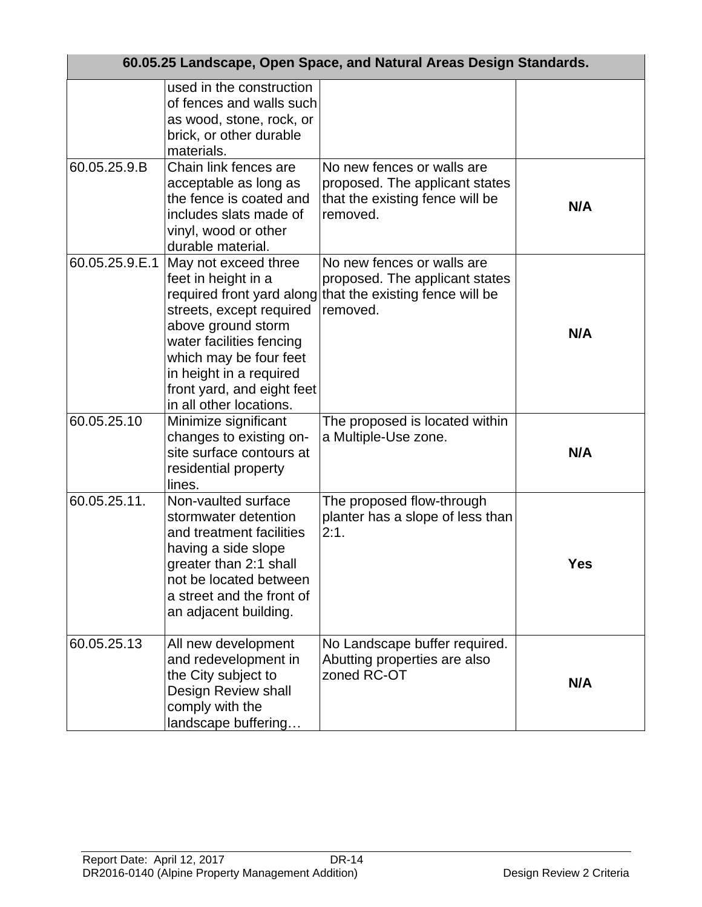|                | 60.05.25 Landscape, Open Space, and Natural Areas Design Standards.                                                                                                                                                                     |                                                                                                                                       |     |  |
|----------------|-----------------------------------------------------------------------------------------------------------------------------------------------------------------------------------------------------------------------------------------|---------------------------------------------------------------------------------------------------------------------------------------|-----|--|
|                | used in the construction<br>of fences and walls such<br>as wood, stone, rock, or<br>brick, or other durable<br>materials.                                                                                                               |                                                                                                                                       |     |  |
| 60.05.25.9.B   | Chain link fences are<br>acceptable as long as<br>the fence is coated and<br>includes slats made of<br>vinyl, wood or other<br>durable material.                                                                                        | No new fences or walls are<br>proposed. The applicant states<br>that the existing fence will be<br>removed.                           | N/A |  |
| 60.05.25.9.E.1 | May not exceed three<br>feet in height in a<br>streets, except required<br>above ground storm<br>water facilities fencing<br>which may be four feet<br>in height in a required<br>front yard, and eight feet<br>in all other locations. | No new fences or walls are<br>proposed. The applicant states<br>required front yard along that the existing fence will be<br>removed. | N/A |  |
| 60.05.25.10    | Minimize significant<br>changes to existing on-<br>site surface contours at<br>residential property<br>lines.                                                                                                                           | The proposed is located within<br>a Multiple-Use zone.                                                                                | N/A |  |
| 60.05.25.11.   | Non-vaulted surface<br>stormwater detention<br>and treatment facilities<br>having a side slope<br>greater than 2:1 shall<br>not be located between<br>a street and the front of<br>an adjacent building.                                | The proposed flow-through<br>planter has a slope of less than<br>2:1.                                                                 | Yes |  |
| 60.05.25.13    | All new development<br>and redevelopment in<br>the City subject to<br>Design Review shall<br>comply with the<br>landscape buffering                                                                                                     | No Landscape buffer required.<br>Abutting properties are also<br>zoned RC-OT                                                          | N/A |  |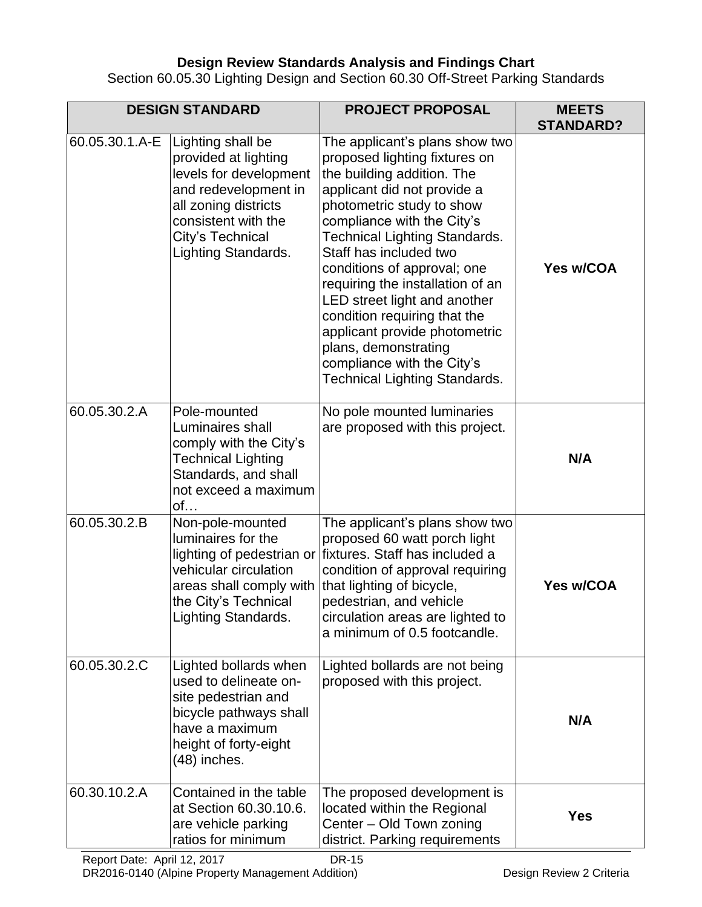# **Design Review Standards Analysis and Findings Chart**

Section 60.05.30 Lighting Design and Section 60.30 Off-Street Parking Standards

|                | <b>DESIGN STANDARD</b>                                                                                                                                                                | <b>PROJECT PROPOSAL</b>                                                                                                                                                                                                                                                                                                                                                                                                                                                                                       | <b>MEETS</b><br><b>STANDARD?</b> |
|----------------|---------------------------------------------------------------------------------------------------------------------------------------------------------------------------------------|---------------------------------------------------------------------------------------------------------------------------------------------------------------------------------------------------------------------------------------------------------------------------------------------------------------------------------------------------------------------------------------------------------------------------------------------------------------------------------------------------------------|----------------------------------|
| 60.05.30.1.A-E | Lighting shall be<br>provided at lighting<br>levels for development<br>and redevelopment in<br>all zoning districts<br>consistent with the<br>City's Technical<br>Lighting Standards. | The applicant's plans show two<br>proposed lighting fixtures on<br>the building addition. The<br>applicant did not provide a<br>photometric study to show<br>compliance with the City's<br>Technical Lighting Standards.<br>Staff has included two<br>conditions of approval; one<br>requiring the installation of an<br>LED street light and another<br>condition requiring that the<br>applicant provide photometric<br>plans, demonstrating<br>compliance with the City's<br>Technical Lighting Standards. | Yes w/COA                        |
| 60.05.30.2.A   | Pole-mounted<br>Luminaires shall<br>comply with the City's<br>Technical Lighting<br>Standards, and shall<br>not exceed a maximum<br>of                                                | No pole mounted luminaries<br>are proposed with this project.                                                                                                                                                                                                                                                                                                                                                                                                                                                 | N/A                              |
| 60.05.30.2.B   | Non-pole-mounted<br>luminaires for the<br>vehicular circulation<br>areas shall comply with<br>the City's Technical<br>Lighting Standards.                                             | The applicant's plans show two<br>proposed 60 watt porch light<br>lighting of pedestrian or fixtures. Staff has included a<br>condition of approval requiring<br>that lighting of bicycle,<br>pedestrian, and vehicle<br>circulation areas are lighted to<br>a minimum of 0.5 footcandle.                                                                                                                                                                                                                     | Yes w/COA                        |
| 60.05.30.2.C   | Lighted bollards when<br>used to delineate on-<br>site pedestrian and<br>bicycle pathways shall<br>have a maximum<br>height of forty-eight<br>$(48)$ inches.                          | Lighted bollards are not being<br>proposed with this project.                                                                                                                                                                                                                                                                                                                                                                                                                                                 | N/A                              |
| 60.30.10.2.A   | Contained in the table<br>at Section 60.30.10.6.<br>are vehicle parking<br>ratios for minimum                                                                                         | The proposed development is<br>located within the Regional<br>Center - Old Town zoning<br>district. Parking requirements                                                                                                                                                                                                                                                                                                                                                                                      | <b>Yes</b>                       |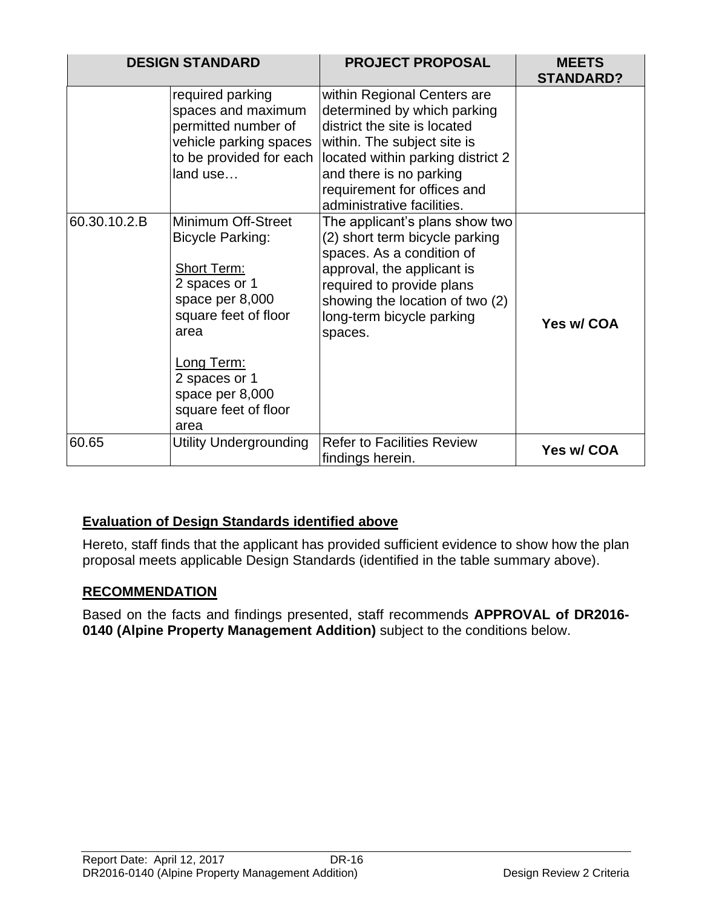|              | <b>DESIGN STANDARD</b>                                                                                                                                                                                                    | <b>PROJECT PROPOSAL</b>                                                                                                                                                                                                                                | <b>MEETS</b><br><b>STANDARD?</b> |
|--------------|---------------------------------------------------------------------------------------------------------------------------------------------------------------------------------------------------------------------------|--------------------------------------------------------------------------------------------------------------------------------------------------------------------------------------------------------------------------------------------------------|----------------------------------|
|              | required parking<br>spaces and maximum<br>permitted number of<br>vehicle parking spaces<br>to be provided for each<br>land use                                                                                            | within Regional Centers are<br>determined by which parking<br>district the site is located<br>within. The subject site is<br>located within parking district 2<br>and there is no parking<br>requirement for offices and<br>administrative facilities. |                                  |
| 60.30.10.2.B | Minimum Off-Street<br><b>Bicycle Parking:</b><br><b>Short Term:</b><br>2 spaces or 1<br>space per 8,000<br>square feet of floor<br>area<br>Long Term:<br>2 spaces or 1<br>space per 8,000<br>square feet of floor<br>area | The applicant's plans show two<br>(2) short term bicycle parking<br>spaces. As a condition of<br>approval, the applicant is<br>required to provide plans<br>showing the location of two (2)<br>long-term bicycle parking<br>spaces.                    | Yes w/ COA                       |
| 60.65        | <b>Utility Undergrounding</b>                                                                                                                                                                                             | <b>Refer to Facilities Review</b><br>findings herein.                                                                                                                                                                                                  | Yes w/ COA                       |

# **Evaluation of Design Standards identified above**

Hereto, staff finds that the applicant has provided sufficient evidence to show how the plan proposal meets applicable Design Standards (identified in the table summary above).

# **RECOMMENDATION**

Based on the facts and findings presented, staff recommends **APPROVAL of DR2016- 0140 (Alpine Property Management Addition)** subject to the conditions below.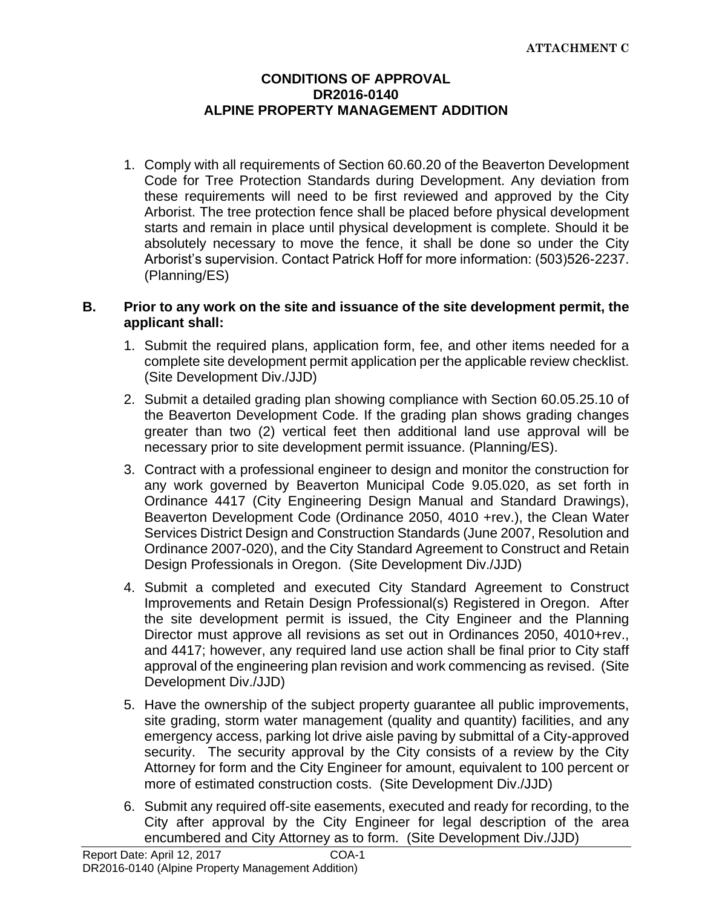## **CONDITIONS OF APPROVAL DR2016-0140 ALPINE PROPERTY MANAGEMENT ADDITION**

1. Comply with all requirements of Section 60.60.20 of the Beaverton Development Code for Tree Protection Standards during Development. Any deviation from these requirements will need to be first reviewed and approved by the City Arborist. The tree protection fence shall be placed before physical development starts and remain in place until physical development is complete. Should it be absolutely necessary to move the fence, it shall be done so under the City Arborist's supervision. Contact Patrick Hoff for more information: (503)526-2237. (Planning/ES)

#### **B. Prior to any work on the site and issuance of the site development permit, the applicant shall:**

- 1. Submit the required plans, application form, fee, and other items needed for a complete site development permit application per the applicable review checklist. (Site Development Div./JJD)
- 2. Submit a detailed grading plan showing compliance with Section 60.05.25.10 of the Beaverton Development Code. If the grading plan shows grading changes greater than two (2) vertical feet then additional land use approval will be necessary prior to site development permit issuance. (Planning/ES).
- 3. Contract with a professional engineer to design and monitor the construction for any work governed by Beaverton Municipal Code 9.05.020, as set forth in Ordinance 4417 (City Engineering Design Manual and Standard Drawings), Beaverton Development Code (Ordinance 2050, 4010 +rev.), the Clean Water Services District Design and Construction Standards (June 2007, Resolution and Ordinance 2007-020), and the City Standard Agreement to Construct and Retain Design Professionals in Oregon. (Site Development Div./JJD)
- 4. Submit a completed and executed City Standard Agreement to Construct Improvements and Retain Design Professional(s) Registered in Oregon. After the site development permit is issued, the City Engineer and the Planning Director must approve all revisions as set out in Ordinances 2050, 4010+rev., and 4417; however, any required land use action shall be final prior to City staff approval of the engineering plan revision and work commencing as revised. (Site Development Div./JJD)
- 5. Have the ownership of the subject property guarantee all public improvements, site grading, storm water management (quality and quantity) facilities, and any emergency access, parking lot drive aisle paving by submittal of a City-approved security. The security approval by the City consists of a review by the City Attorney for form and the City Engineer for amount, equivalent to 100 percent or more of estimated construction costs. (Site Development Div./JJD)
- 6. Submit any required off-site easements, executed and ready for recording, to the City after approval by the City Engineer for legal description of the area encumbered and City Attorney as to form. (Site Development Div./JJD)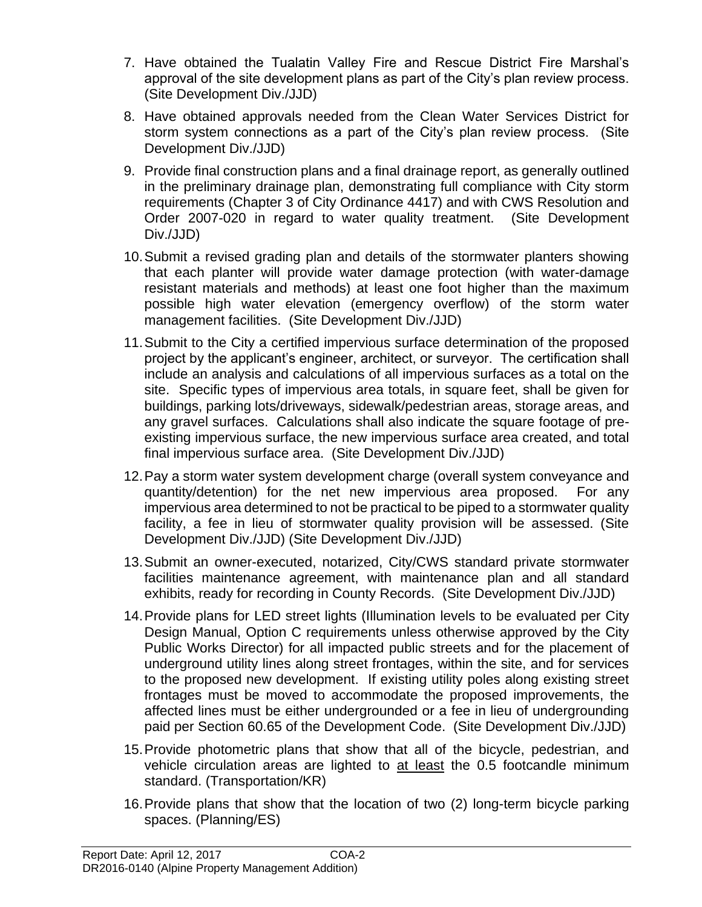- 7. Have obtained the Tualatin Valley Fire and Rescue District Fire Marshal's approval of the site development plans as part of the City's plan review process. (Site Development Div./JJD)
- 8. Have obtained approvals needed from the Clean Water Services District for storm system connections as a part of the City's plan review process. (Site Development Div./JJD)
- 9. Provide final construction plans and a final drainage report, as generally outlined in the preliminary drainage plan, demonstrating full compliance with City storm requirements (Chapter 3 of City Ordinance 4417) and with CWS Resolution and Order 2007-020 in regard to water quality treatment. (Site Development Div./JJD)
- 10.Submit a revised grading plan and details of the stormwater planters showing that each planter will provide water damage protection (with water-damage resistant materials and methods) at least one foot higher than the maximum possible high water elevation (emergency overflow) of the storm water management facilities. (Site Development Div./JJD)
- 11.Submit to the City a certified impervious surface determination of the proposed project by the applicant's engineer, architect, or surveyor. The certification shall include an analysis and calculations of all impervious surfaces as a total on the site. Specific types of impervious area totals, in square feet, shall be given for buildings, parking lots/driveways, sidewalk/pedestrian areas, storage areas, and any gravel surfaces. Calculations shall also indicate the square footage of preexisting impervious surface, the new impervious surface area created, and total final impervious surface area. (Site Development Div./JJD)
- 12.Pay a storm water system development charge (overall system conveyance and quantity/detention) for the net new impervious area proposed. For any impervious area determined to not be practical to be piped to a stormwater quality facility, a fee in lieu of stormwater quality provision will be assessed. (Site Development Div./JJD) (Site Development Div./JJD)
- 13.Submit an owner-executed, notarized, City/CWS standard private stormwater facilities maintenance agreement, with maintenance plan and all standard exhibits, ready for recording in County Records. (Site Development Div./JJD)
- 14.Provide plans for LED street lights (Illumination levels to be evaluated per City Design Manual, Option C requirements unless otherwise approved by the City Public Works Director) for all impacted public streets and for the placement of underground utility lines along street frontages, within the site, and for services to the proposed new development. If existing utility poles along existing street frontages must be moved to accommodate the proposed improvements, the affected lines must be either undergrounded or a fee in lieu of undergrounding paid per Section 60.65 of the Development Code. (Site Development Div./JJD)
- 15.Provide photometric plans that show that all of the bicycle, pedestrian, and vehicle circulation areas are lighted to at least the 0.5 footcandle minimum standard. (Transportation/KR)
- 16.Provide plans that show that the location of two (2) long-term bicycle parking spaces. (Planning/ES)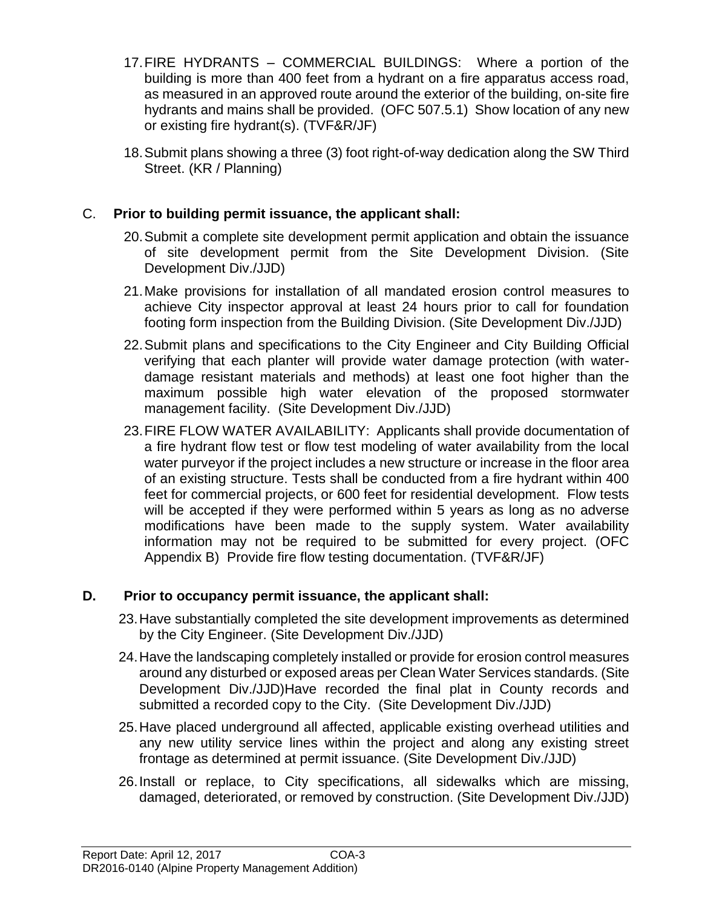- 17.FIRE HYDRANTS COMMERCIAL BUILDINGS: Where a portion of the building is more than 400 feet from a hydrant on a fire apparatus access road, as measured in an approved route around the exterior of the building, on-site fire hydrants and mains shall be provided. (OFC 507.5.1) Show location of any new or existing fire hydrant(s). (TVF&R/JF)
- 18.Submit plans showing a three (3) foot right-of-way dedication along the SW Third Street. (KR / Planning)

# C. **Prior to building permit issuance, the applicant shall:**

- 20.Submit a complete site development permit application and obtain the issuance of site development permit from the Site Development Division. (Site Development Div./JJD)
- 21.Make provisions for installation of all mandated erosion control measures to achieve City inspector approval at least 24 hours prior to call for foundation footing form inspection from the Building Division. (Site Development Div./JJD)
- 22.Submit plans and specifications to the City Engineer and City Building Official verifying that each planter will provide water damage protection (with waterdamage resistant materials and methods) at least one foot higher than the maximum possible high water elevation of the proposed stormwater management facility. (Site Development Div./JJD)
- 23.FIRE FLOW WATER AVAILABILITY: Applicants shall provide documentation of a fire hydrant flow test or flow test modeling of water availability from the local water purveyor if the project includes a new structure or increase in the floor area of an existing structure. Tests shall be conducted from a fire hydrant within 400 feet for commercial projects, or 600 feet for residential development. Flow tests will be accepted if they were performed within 5 years as long as no adverse modifications have been made to the supply system. Water availability information may not be required to be submitted for every project. (OFC Appendix B) Provide fire flow testing documentation. (TVF&R/JF)

# **D. Prior to occupancy permit issuance, the applicant shall:**

- 23.Have substantially completed the site development improvements as determined by the City Engineer. (Site Development Div./JJD)
- 24.Have the landscaping completely installed or provide for erosion control measures around any disturbed or exposed areas per Clean Water Services standards. (Site Development Div./JJD)Have recorded the final plat in County records and submitted a recorded copy to the City. (Site Development Div./JJD)
- 25.Have placed underground all affected, applicable existing overhead utilities and any new utility service lines within the project and along any existing street frontage as determined at permit issuance. (Site Development Div./JJD)
- 26.Install or replace, to City specifications, all sidewalks which are missing, damaged, deteriorated, or removed by construction. (Site Development Div./JJD)